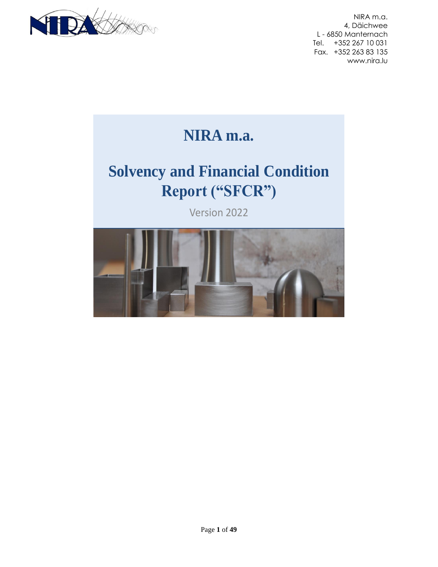

**NIRA m.a.** 

# **Solvency and Financial Condition Report ("SFCR")**

Version 2022

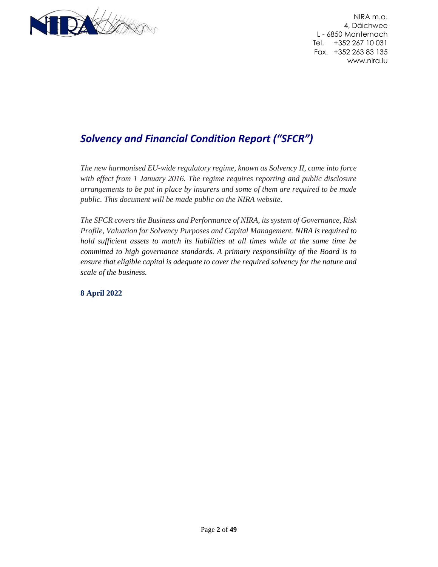

# *Solvency and Financial Condition Report ("SFCR")*

*The new harmonised EU-wide regulatory regime, known as Solvency II, came into force with effect from 1 January 2016. The regime requires reporting and public disclosure arrangements to be put in place by insurers and some of them are required to be made public. This document will be made public on the NIRA website.*

*The SFCR covers the Business and Performance of NIRA, its system of Governance, Risk Profile, Valuation for Solvency Purposes and Capital Management. NIRA is required to hold sufficient assets to match its liabilities at all times while at the same time be committed to high governance standards. A primary responsibility of the Board is to ensure that eligible capital is adequate to cover the required solvency for the nature and scale of the business.*

**8 April 2022**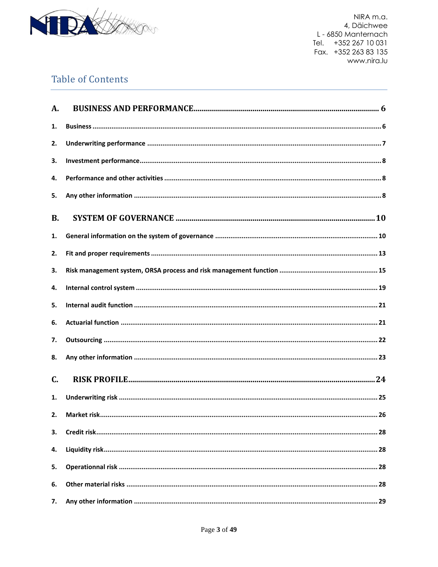

# **Table of Contents**

| A.        |  |
|-----------|--|
| 1.        |  |
| 2.        |  |
| 3.        |  |
| 4.        |  |
| 5.        |  |
| <b>B.</b> |  |
| 1.        |  |
| 2.        |  |
| 3.        |  |
| 4.        |  |
| 5.        |  |
| 6.        |  |
| 7.        |  |
| 8.        |  |
| C.        |  |
| 1.        |  |
| 2.        |  |
| 3.        |  |
| 4.        |  |
| 5.        |  |
| 6.        |  |
| 7.        |  |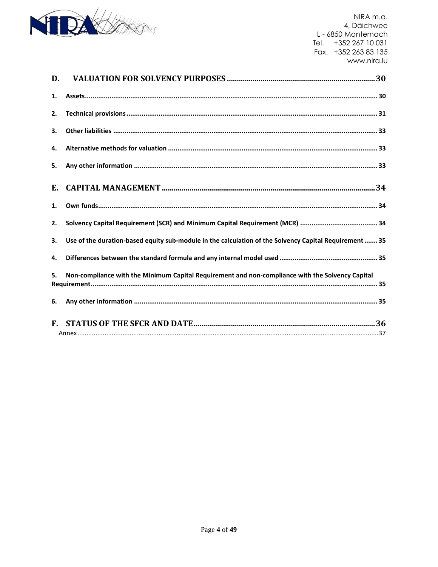

| D.                   |                                                                                                        |
|----------------------|--------------------------------------------------------------------------------------------------------|
| 1.                   |                                                                                                        |
| 2.                   |                                                                                                        |
| 3.                   |                                                                                                        |
| 4.                   |                                                                                                        |
| 5.                   |                                                                                                        |
| E.                   |                                                                                                        |
| 1.                   |                                                                                                        |
| 2.                   |                                                                                                        |
| 3.                   | Use of the duration-based equity sub-module in the calculation of the Solvency Capital Requirement  35 |
| 4.                   |                                                                                                        |
| 5.                   | Non-compliance with the Minimum Capital Requirement and non-compliance with the Solvency Capital       |
| 6.                   |                                                                                                        |
| $\mathbf{F}_{\cdot}$ |                                                                                                        |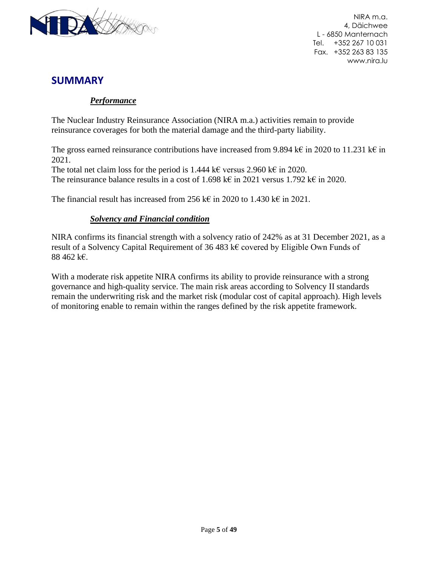

# **SUMMARY**

### *Performance*

The Nuclear Industry Reinsurance Association (NIRA m.a.) activities remain to provide reinsurance coverages for both the material damage and the third-party liability.

The gross earned reinsurance contributions have increased from 9.894 k€ in 2020 to 11.231 k€ in 2021.

The total net claim loss for the period is 1.444 k€ versus 2.960 k€ in 2020. The reinsurance balance results in a cost of 1.698 k€ in 2021 versus 1.792 k€ in 2020.

The financial result has increased from 256 k€ in 2020 to 1.430 k€ in 2021.

#### *Solvency and Financial condition*

NIRA confirms its financial strength with a solvency ratio of 242% as at 31 December 2021, as a result of a Solvency Capital Requirement of 36 483 k€ covered by Eligible Own Funds of 88 462 k€.

With a moderate risk appetite NIRA confirms its ability to provide reinsurance with a strong governance and high-quality service. The main risk areas according to Solvency II standards remain the underwriting risk and the market risk (modular cost of capital approach). High levels of monitoring enable to remain within the ranges defined by the risk appetite framework.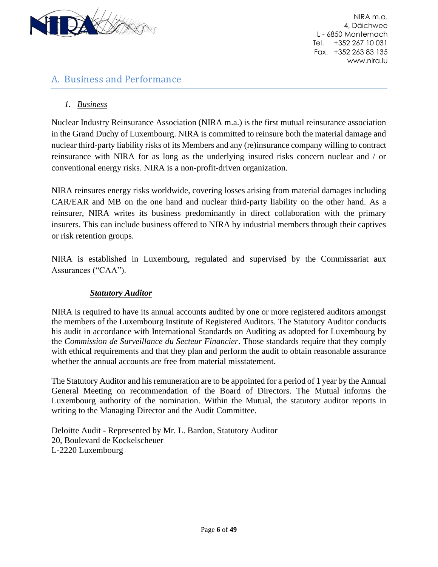

# <span id="page-5-0"></span>A. Business and Performance

## <span id="page-5-1"></span>*1. Business*

Nuclear Industry Reinsurance Association (NIRA m.a.) is the first mutual reinsurance association in the Grand Duchy of Luxembourg. NIRA is committed to reinsure both the material damage and nuclear third-party liability risks of its Members and any (re)insurance company willing to contract reinsurance with NIRA for as long as the underlying insured risks concern nuclear and / or conventional energy risks. NIRA is a non-profit-driven organization.

NIRA reinsures energy risks worldwide, covering losses arising from material damages including CAR/EAR and MB on the one hand and nuclear third-party liability on the other hand. As a reinsurer, NIRA writes its business predominantly in direct collaboration with the primary insurers. This can include business offered to NIRA by industrial members through their captives or risk retention groups.

NIRA is established in Luxembourg, regulated and supervised by the Commissariat aux Assurances ("CAA").

#### *Statutory Auditor*

NIRA is required to have its annual accounts audited by one or more registered auditors amongst the members of the Luxembourg Institute of Registered Auditors. The Statutory Auditor conducts his audit in accordance with International Standards on Auditing as adopted for Luxembourg by the *Commission de Surveillance du Secteur Financier*. Those standards require that they comply with ethical requirements and that they plan and perform the audit to obtain reasonable assurance whether the annual accounts are free from material misstatement.

The Statutory Auditor and his remuneration are to be appointed for a period of 1 year by the Annual General Meeting on recommendation of the Board of Directors. The Mutual informs the Luxembourg authority of the nomination. Within the Mutual, the statutory auditor reports in writing to the Managing Director and the Audit Committee.

Deloitte Audit - Represented by Mr. L. Bardon, Statutory Auditor 20, Boulevard de Kockelscheuer L-2220 Luxembourg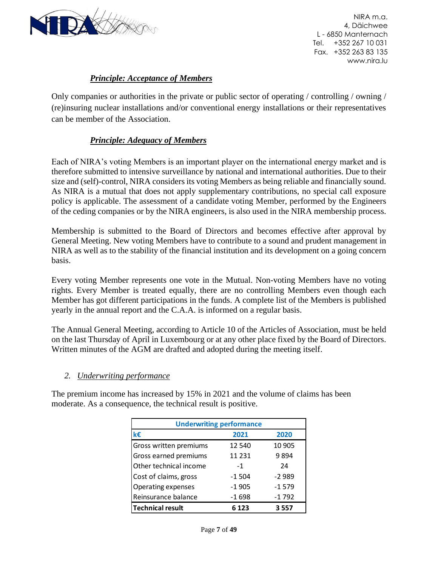

## *Principle: Acceptance of Members*

Only companies or authorities in the private or public sector of operating / controlling / owning / (re)insuring nuclear installations and/or conventional energy installations or their representatives can be member of the Association.

#### *Principle: Adequacy of Members*

Each of NIRA's voting Members is an important player on the international energy market and is therefore submitted to intensive surveillance by national and international authorities. Due to their size and (self)-control, NIRA considers its voting Members as being reliable and financially sound. As NIRA is a mutual that does not apply supplementary contributions, no special call exposure policy is applicable. The assessment of a candidate voting Member, performed by the Engineers of the ceding companies or by the NIRA engineers, is also used in the NIRA membership process.

Membership is submitted to the Board of Directors and becomes effective after approval by General Meeting. New voting Members have to contribute to a sound and prudent management in NIRA as well as to the stability of the financial institution and its development on a going concern basis.

Every voting Member represents one vote in the Mutual. Non-voting Members have no voting rights. Every Member is treated equally, there are no controlling Members even though each Member has got different participations in the funds. A complete list of the Members is published yearly in the annual report and the C.A.A. is informed on a regular basis.

The Annual General Meeting, according to Article 10 of the Articles of Association, must be held on the last Thursday of April in Luxembourg or at any other place fixed by the Board of Directors. Written minutes of the AGM are drafted and adopted during the meeting itself.

#### <span id="page-6-0"></span>*2. Underwriting performance*

The premium income has increased by 15% in 2021 and the volume of claims has been moderate. As a consequence, the technical result is positive.

| <b>Underwriting performance</b> |          |         |  |  |
|---------------------------------|----------|---------|--|--|
| k€                              | 2021     | 2020    |  |  |
| Gross written premiums          | 12 540   | 10 905  |  |  |
| Gross earned premiums           | 11 2 3 1 | 9894    |  |  |
| Other technical income          | $-1$     | 24      |  |  |
| Cost of claims, gross           | $-1504$  | $-2989$ |  |  |
| Operating expenses              | $-1905$  | $-1579$ |  |  |
| Reinsurance balance             | $-1698$  | $-1792$ |  |  |
| <b>Technical result</b>         | 6 1 2 3  | 3557    |  |  |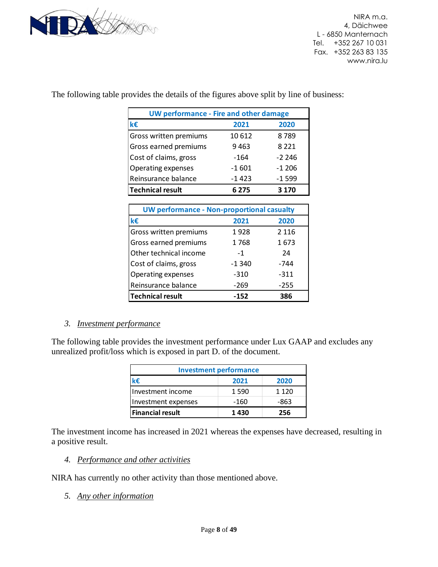

The following table provides the details of the figures above split by line of business:

| <b>UW performance - Fire and other damage</b>     |         |         |  |  |
|---------------------------------------------------|---------|---------|--|--|
| k€                                                | 2021    | 2020    |  |  |
| Gross written premiums                            | 10 612  | 8789    |  |  |
| Gross earned premiums                             | 9463    | 8 2 2 1 |  |  |
| Cost of claims, gross                             | -164    | -2 246  |  |  |
| Operating expenses                                | $-1601$ | -1 206  |  |  |
| Reinsurance balance                               | -1 423  | $-1599$ |  |  |
| <b>Technical result</b>                           | 6 275   | 3 1 7 0 |  |  |
|                                                   |         |         |  |  |
| <b>UW performance - Non-proportional casualty</b> |         |         |  |  |
| k€                                                | 2021    | 2020    |  |  |
| Gross written premiums                            | 1928    | 2 1 1 6 |  |  |
| Gross earned premiums                             | 1768    | 1673    |  |  |
| Other technical income                            | $-1$    | 24      |  |  |
| Cost of claims, gross                             | -1 340  | -744    |  |  |
|                                                   |         |         |  |  |

#### <span id="page-7-0"></span>*3. Investment performance*

The following table provides the investment performance under Lux GAAP and excludes any unrealized profit/loss which is exposed in part D. of the document.

Reinsurance balance -269 -255 **Technical result -152 386**

| <b>Investment performance</b>          |      |         |  |
|----------------------------------------|------|---------|--|
| k€                                     | 2021 | 2020    |  |
| Investment income                      | 1590 | 1 1 2 0 |  |
| Investment expenses                    | -160 | -863    |  |
| <b>Financial result</b><br>1430<br>256 |      |         |  |

The investment income has increased in 2021 whereas the expenses have decreased, resulting in a positive result.

#### <span id="page-7-1"></span>*4. Performance and other activities*

NIRA has currently no other activity than those mentioned above.

<span id="page-7-2"></span>*5. Any other information*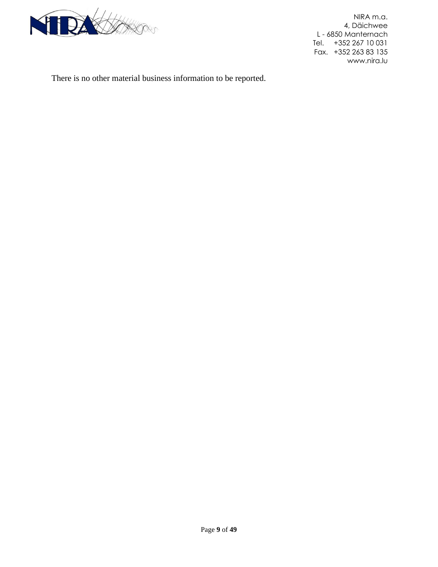

There is no other material business information to be reported.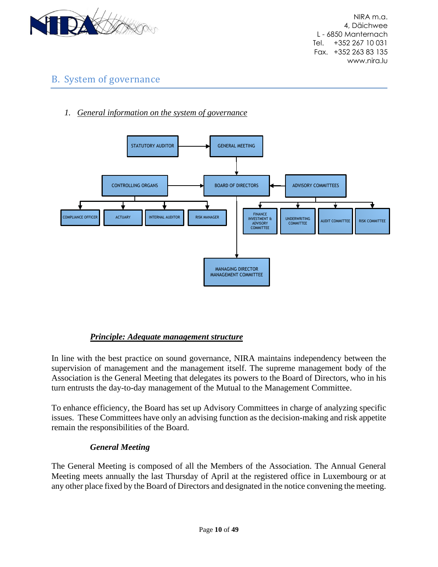

# <span id="page-9-0"></span>B. System of governance

<span id="page-9-1"></span>*1. General information on the system of governance*



#### *Principle: Adequate management structure*

In line with the best practice on sound governance, NIRA maintains independency between the supervision of management and the management itself. The supreme management body of the Association is the General Meeting that delegates its powers to the Board of Directors, who in his turn entrusts the day-to-day management of the Mutual to the Management Committee.

To enhance efficiency, the Board has set up Advisory Committees in charge of analyzing specific issues. These Committees have only an advising function as the decision-making and risk appetite remain the responsibilities of the Board.

#### *General Meeting*

The General Meeting is composed of all the Members of the Association. The Annual General Meeting meets annually the last Thursday of April at the registered office in Luxembourg or at any other place fixed by the Board of Directors and designated in the notice convening the meeting.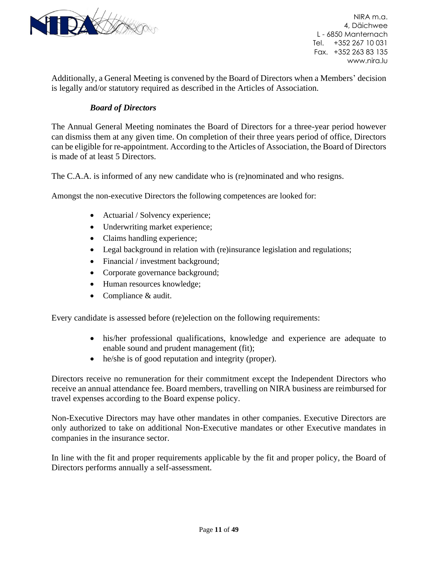

Additionally, a General Meeting is convened by the Board of Directors when a Members' decision is legally and/or statutory required as described in the Articles of Association.

#### *Board of Directors*

The Annual General Meeting nominates the Board of Directors for a three-year period however can dismiss them at any given time. On completion of their three years period of office, Directors can be eligible for re-appointment. According to the Articles of Association, the Board of Directors is made of at least 5 Directors.

The C.A.A. is informed of any new candidate who is (re)nominated and who resigns.

Amongst the non-executive Directors the following competences are looked for:

- Actuarial / Solvency experience;
- Underwriting market experience;
- Claims handling experience;
- Legal background in relation with (re)insurance legislation and regulations;
- Financial / investment background;
- Corporate governance background;
- Human resources knowledge;
- Compliance & audit.

Every candidate is assessed before (re)election on the following requirements:

- his/her professional qualifications, knowledge and experience are adequate to enable sound and prudent management (fit);
- he/she is of good reputation and integrity (proper).

Directors receive no remuneration for their commitment except the Independent Directors who receive an annual attendance fee. Board members, travelling on NIRA business are reimbursed for travel expenses according to the Board expense policy.

Non-Executive Directors may have other mandates in other companies. Executive Directors are only authorized to take on additional Non-Executive mandates or other Executive mandates in companies in the insurance sector.

In line with the fit and proper requirements applicable by the fit and proper policy, the Board of Directors performs annually a self-assessment.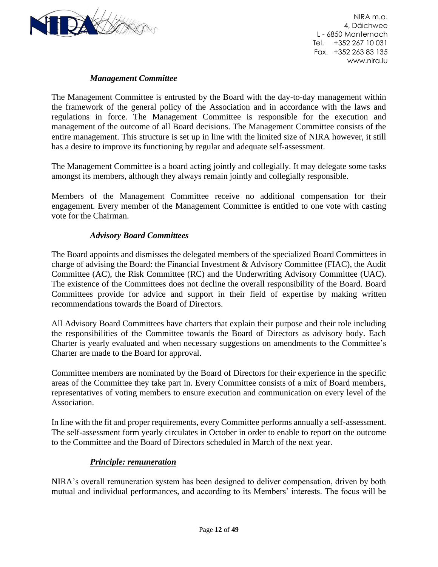

#### *Management Committee*

The Management Committee is entrusted by the Board with the day-to-day management within the framework of the general policy of the Association and in accordance with the laws and regulations in force. The Management Committee is responsible for the execution and management of the outcome of all Board decisions. The Management Committee consists of the entire management. This structure is set up in line with the limited size of NIRA however, it still has a desire to improve its functioning by regular and adequate self-assessment.

The Management Committee is a board acting jointly and collegially. It may delegate some tasks amongst its members, although they always remain jointly and collegially responsible.

Members of the Management Committee receive no additional compensation for their engagement. Every member of the Management Committee is entitled to one vote with casting vote for the Chairman.

#### *Advisory Board Committees*

The Board appoints and dismisses the delegated members of the specialized Board Committees in charge of advising the Board: the Financial Investment & Advisory Committee (FIAC), the Audit Committee (AC), the Risk Committee (RC) and the Underwriting Advisory Committee (UAC). The existence of the Committees does not decline the overall responsibility of the Board. Board Committees provide for advice and support in their field of expertise by making written recommendations towards the Board of Directors.

All Advisory Board Committees have charters that explain their purpose and their role including the responsibilities of the Committee towards the Board of Directors as advisory body. Each Charter is yearly evaluated and when necessary suggestions on amendments to the Committee's Charter are made to the Board for approval.

Committee members are nominated by the Board of Directors for their experience in the specific areas of the Committee they take part in. Every Committee consists of a mix of Board members, representatives of voting members to ensure execution and communication on every level of the Association.

In line with the fit and proper requirements, every Committee performs annually a self-assessment. The self-assessment form yearly circulates in October in order to enable to report on the outcome to the Committee and the Board of Directors scheduled in March of the next year.

#### *Principle: remuneration*

NIRA's overall remuneration system has been designed to deliver compensation, driven by both mutual and individual performances, and according to its Members' interests. The focus will be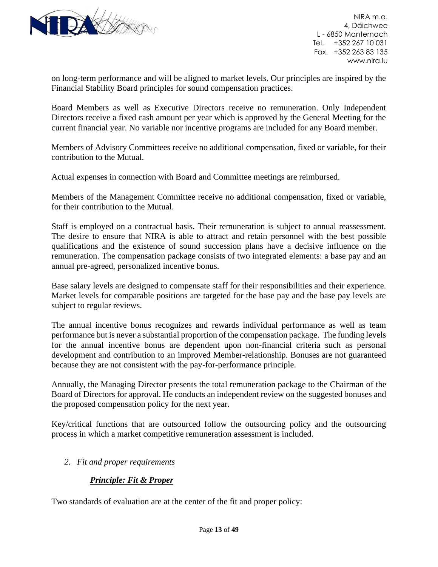

on long-term performance and will be aligned to market levels. Our principles are inspired by the Financial Stability Board principles for sound compensation practices.

Board Members as well as Executive Directors receive no remuneration. Only Independent Directors receive a fixed cash amount per year which is approved by the General Meeting for the current financial year. No variable nor incentive programs are included for any Board member.

Members of Advisory Committees receive no additional compensation, fixed or variable, for their contribution to the Mutual.

Actual expenses in connection with Board and Committee meetings are reimbursed.

Members of the Management Committee receive no additional compensation, fixed or variable, for their contribution to the Mutual.

Staff is employed on a contractual basis. Their remuneration is subject to annual reassessment. The desire to ensure that NIRA is able to attract and retain personnel with the best possible qualifications and the existence of sound succession plans have a decisive influence on the remuneration. The compensation package consists of two integrated elements: a base pay and an annual pre-agreed, personalized incentive bonus.

Base salary levels are designed to compensate staff for their responsibilities and their experience. Market levels for comparable positions are targeted for the base pay and the base pay levels are subject to regular reviews.

The annual incentive bonus recognizes and rewards individual performance as well as team performance but is never a substantial proportion of the compensation package. The funding levels for the annual incentive bonus are dependent upon non-financial criteria such as personal development and contribution to an improved Member-relationship. Bonuses are not guaranteed because they are not consistent with the pay-for-performance principle.

Annually, the Managing Director presents the total remuneration package to the Chairman of the Board of Directors for approval. He conducts an independent review on the suggested bonuses and the proposed compensation policy for the next year.

Key/critical functions that are outsourced follow the outsourcing policy and the outsourcing process in which a market competitive remuneration assessment is included.

#### <span id="page-12-0"></span>*2. Fit and proper requirements*

#### *Principle: Fit & Proper*

Two standards of evaluation are at the center of the fit and proper policy: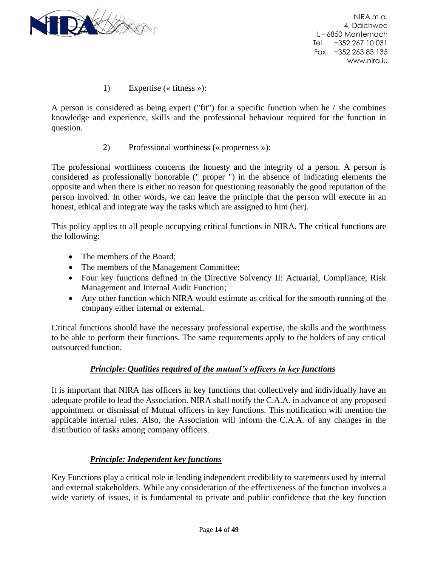

1) Expertise (« fitness »):

A person is considered as being expert ("fit") for a specific function when he / she combines knowledge and experience, skills and the professional behaviour required for the function in question.

2) Professional worthiness (« properness »):

The professional worthiness concerns the honesty and the integrity of a person. A person is considered as professionally honorable (" proper ") in the absence of indicating elements the opposite and when there is either no reason for questioning reasonably the good reputation of the person involved. In other words, we can leave the principle that the person will execute in an honest, ethical and integrate way the tasks which are assigned to him (her).

This policy applies to all people occupying critical functions in NIRA. The critical functions are the following:

- The members of the Board;
- The members of the Management Committee;
- Four key functions defined in the Directive Solvency II: Actuarial, Compliance, Risk Management and Internal Audit Function;
- Any other function which NIRA would estimate as critical for the smooth running of the company either internal or external.

Critical functions should have the necessary professional expertise, the skills and the worthiness to be able to perform their functions. The same requirements apply to the holders of any critical outsourced function.

#### *Principle: Qualities required of the mutual's officers in key functions*

It is important that NIRA has officers in key functions that collectively and individually have an adequate profile to lead the Association. NIRA shall notify the C.A.A. in advance of any proposed appointment or dismissal of Mutual officers in key functions. This notification will mention the applicable internal rules. Also, the Association will inform the C.A.A. of any changes in the distribution of tasks among company officers.

#### *Principle: Independent key functions*

Key Functions play a critical role in lending independent credibility to statements used by internal and external stakeholders. While any consideration of the effectiveness of the function involves a wide variety of issues, it is fundamental to private and public confidence that the key function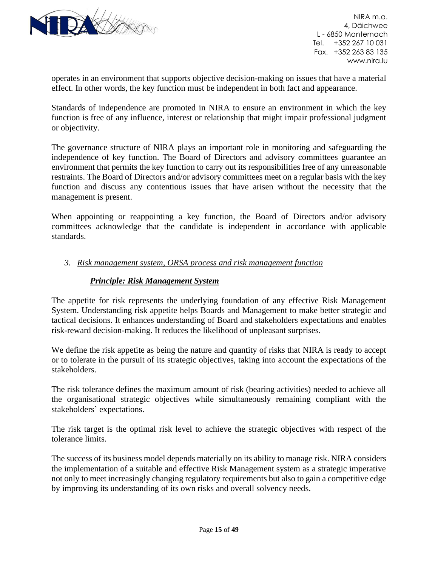

operates in an environment that supports objective decision-making on issues that have a material effect. In other words, the key function must be independent in both fact and appearance.

Standards of independence are promoted in NIRA to ensure an environment in which the key function is free of any influence, interest or relationship that might impair professional judgment or objectivity.

The governance structure of NIRA plays an important role in monitoring and safeguarding the independence of key function. The Board of Directors and advisory committees guarantee an environment that permits the key function to carry out its responsibilities free of any unreasonable restraints. The Board of Directors and/or advisory committees meet on a regular basis with the key function and discuss any contentious issues that have arisen without the necessity that the management is present.

When appointing or reappointing a key function, the Board of Directors and/or advisory committees acknowledge that the candidate is independent in accordance with applicable standards.

#### <span id="page-14-0"></span>*3. Risk management system, ORSA process and risk management function*

#### *Principle: Risk Management System*

The appetite for risk represents the underlying foundation of any effective Risk Management System. Understanding risk appetite helps Boards and Management to make better strategic and tactical decisions. It enhances understanding of Board and stakeholders expectations and enables risk-reward decision-making. It reduces the likelihood of unpleasant surprises.

We define the risk appetite as being the nature and quantity of risks that NIRA is ready to accept or to tolerate in the pursuit of its strategic objectives, taking into account the expectations of the stakeholders.

The risk tolerance defines the maximum amount of risk (bearing activities) needed to achieve all the organisational strategic objectives while simultaneously remaining compliant with the stakeholders' expectations.

The risk target is the optimal risk level to achieve the strategic objectives with respect of the tolerance limits.

The success of its business model depends materially on its ability to manage risk. NIRA considers the implementation of a suitable and effective Risk Management system as a strategic imperative not only to meet increasingly changing regulatory requirements but also to gain a competitive edge by improving its understanding of its own risks and overall solvency needs.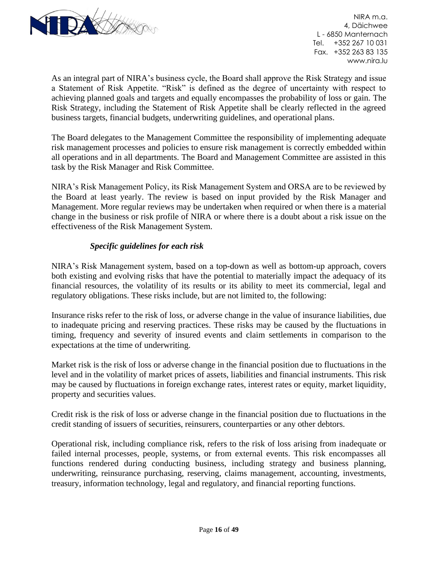

As an integral part of NIRA's business cycle, the Board shall approve the Risk Strategy and issue a Statement of Risk Appetite. "Risk" is defined as the degree of uncertainty with respect to achieving planned goals and targets and equally encompasses the probability of loss or gain. The Risk Strategy, including the Statement of Risk Appetite shall be clearly reflected in the agreed business targets, financial budgets, underwriting guidelines, and operational plans.

The Board delegates to the Management Committee the responsibility of implementing adequate risk management processes and policies to ensure risk management is correctly embedded within all operations and in all departments. The Board and Management Committee are assisted in this task by the Risk Manager and Risk Committee.

NIRA's Risk Management Policy, its Risk Management System and ORSA are to be reviewed by the Board at least yearly. The review is based on input provided by the Risk Manager and Management. More regular reviews may be undertaken when required or when there is a material change in the business or risk profile of NIRA or where there is a doubt about a risk issue on the effectiveness of the Risk Management System.

#### *Specific guidelines for each risk*

NIRA's Risk Management system, based on a top-down as well as bottom-up approach, covers both existing and evolving risks that have the potential to materially impact the adequacy of its financial resources, the volatility of its results or its ability to meet its commercial, legal and regulatory obligations. These risks include, but are not limited to, the following:

Insurance risks refer to the risk of loss, or adverse change in the value of insurance liabilities, due to inadequate pricing and reserving practices. These risks may be caused by the fluctuations in timing, frequency and severity of insured events and claim settlements in comparison to the expectations at the time of underwriting.

Market risk is the risk of loss or adverse change in the financial position due to fluctuations in the level and in the volatility of market prices of assets, liabilities and financial instruments. This risk may be caused by fluctuations in foreign exchange rates, interest rates or equity, market liquidity, property and securities values.

Credit risk is the risk of loss or adverse change in the financial position due to fluctuations in the credit standing of issuers of securities, reinsurers, counterparties or any other debtors.

Operational risk, including compliance risk, refers to the risk of loss arising from inadequate or failed internal processes, people, systems, or from external events. This risk encompasses all functions rendered during conducting business, including strategy and business planning, underwriting, reinsurance purchasing, reserving, claims management, accounting, investments, treasury, information technology, legal and regulatory, and financial reporting functions.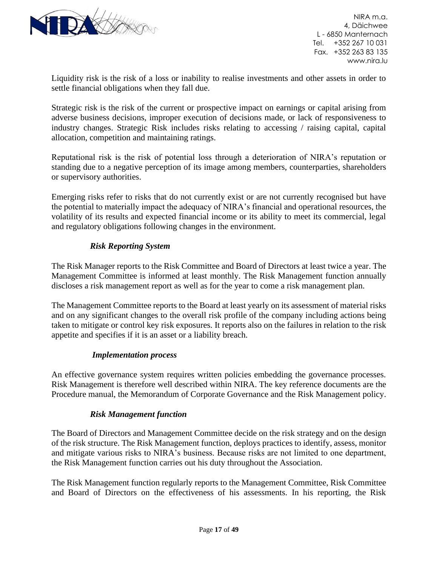

Liquidity risk is the risk of a loss or inability to realise investments and other assets in order to settle financial obligations when they fall due.

Strategic risk is the risk of the current or prospective impact on earnings or capital arising from adverse business decisions, improper execution of decisions made, or lack of responsiveness to industry changes. Strategic Risk includes risks relating to accessing / raising capital, capital allocation, competition and maintaining ratings.

Reputational risk is the risk of potential loss through a deterioration of NIRA's reputation or standing due to a negative perception of its image among members, counterparties, shareholders or supervisory authorities.

Emerging risks refer to risks that do not currently exist or are not currently recognised but have the potential to materially impact the adequacy of NIRA's financial and operational resources, the volatility of its results and expected financial income or its ability to meet its commercial, legal and regulatory obligations following changes in the environment.

#### *Risk Reporting System*

The Risk Manager reports to the Risk Committee and Board of Directors at least twice a year. The Management Committee is informed at least monthly. The Risk Management function annually discloses a risk management report as well as for the year to come a risk management plan.

The Management Committee reports to the Board at least yearly on its assessment of material risks and on any significant changes to the overall risk profile of the company including actions being taken to mitigate or control key risk exposures. It reports also on the failures in relation to the risk appetite and specifies if it is an asset or a liability breach.

#### *Implementation process*

An effective governance system requires written policies embedding the governance processes. Risk Management is therefore well described within NIRA. The key reference documents are the Procedure manual, the Memorandum of Corporate Governance and the Risk Management policy.

#### *Risk Management function*

The Board of Directors and Management Committee decide on the risk strategy and on the design of the risk structure. The Risk Management function, deploys practices to identify, assess, monitor and mitigate various risks to NIRA's business. Because risks are not limited to one department, the Risk Management function carries out his duty throughout the Association.

The Risk Management function regularly reports to the Management Committee, Risk Committee and Board of Directors on the effectiveness of his assessments. In his reporting, the Risk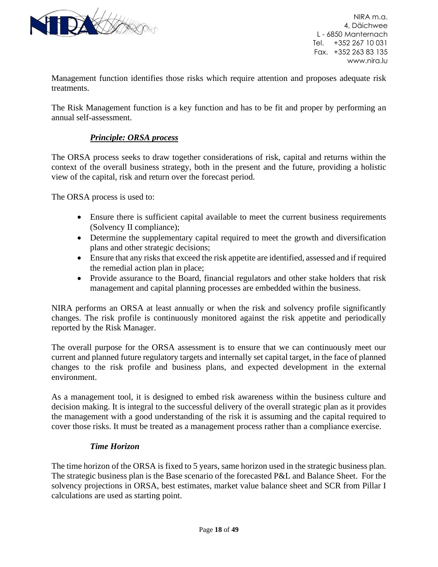

Management function identifies those risks which require attention and proposes adequate risk treatments.

The Risk Management function is a key function and has to be fit and proper by performing an annual self-assessment.

#### *Principle: ORSA process*

The ORSA process seeks to draw together considerations of risk, capital and returns within the context of the overall business strategy, both in the present and the future, providing a holistic view of the capital, risk and return over the forecast period.

The ORSA process is used to:

- Ensure there is sufficient capital available to meet the current business requirements (Solvency II compliance);
- Determine the supplementary capital required to meet the growth and diversification plans and other strategic decisions;
- Ensure that any risks that exceed the risk appetite are identified, assessed and if required the remedial action plan in place;
- Provide assurance to the Board, financial regulators and other stake holders that risk management and capital planning processes are embedded within the business.

NIRA performs an ORSA at least annually or when the risk and solvency profile significantly changes. The risk profile is continuously monitored against the risk appetite and periodically reported by the Risk Manager.

The overall purpose for the ORSA assessment is to ensure that we can continuously meet our current and planned future regulatory targets and internally set capital target, in the face of planned changes to the risk profile and business plans, and expected development in the external environment.

As a management tool, it is designed to embed risk awareness within the business culture and decision making. It is integral to the successful delivery of the overall strategic plan as it provides the management with a good understanding of the risk it is assuming and the capital required to cover those risks. It must be treated as a management process rather than a compliance exercise.

#### *Time Horizon*

The time horizon of the ORSA is fixed to 5 years, same horizon used in the strategic business plan. The strategic business plan is the Base scenario of the forecasted P&L and Balance Sheet. For the solvency projections in ORSA, best estimates, market value balance sheet and SCR from Pillar I calculations are used as starting point.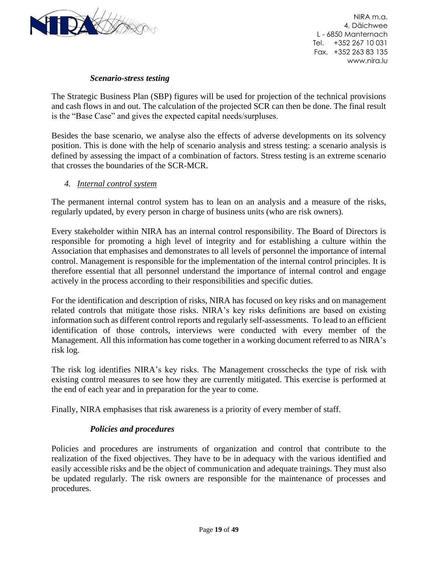

#### *Scenario-stress testing*

The Strategic Business Plan (SBP) figures will be used for projection of the technical provisions and cash flows in and out. The calculation of the projected SCR can then be done. The final result is the "Base Case" and gives the expected capital needs/surpluses.

Besides the base scenario, we analyse also the effects of adverse developments on its solvency position. This is done with the help of scenario analysis and stress testing: a scenario analysis is defined by assessing the impact of a combination of factors. Stress testing is an extreme scenario that crosses the boundaries of the SCR-MCR.

#### <span id="page-18-0"></span>*4. Internal control system*

The permanent internal control system has to lean on an analysis and a measure of the risks, regularly updated, by every person in charge of business units (who are risk owners).

Every stakeholder within NIRA has an internal control responsibility. The Board of Directors is responsible for promoting a high level of integrity and for establishing a culture within the Association that emphasises and demonstrates to all levels of personnel the importance of internal control. Management is responsible for the implementation of the internal control principles. It is therefore essential that all personnel understand the importance of internal control and engage actively in the process according to their responsibilities and specific duties.

For the identification and description of risks, NIRA has focused on key risks and on management related controls that mitigate those risks. NIRA's key risks definitions are based on existing information such as different control reports and regularly self-assessments. To lead to an efficient identification of those controls, interviews were conducted with every member of the Management. All this information has come together in a working document referred to as NIRA's risk log.

The risk log identifies NIRA's key risks. The Management crosschecks the type of risk with existing control measures to see how they are currently mitigated. This exercise is performed at the end of each year and in preparation for the year to come.

Finally, NIRA emphasises that risk awareness is a priority of every member of staff.

#### *Policies and procedures*

Policies and procedures are instruments of organization and control that contribute to the realization of the fixed objectives. They have to be in adequacy with the various identified and easily accessible risks and be the object of communication and adequate trainings. They must also be updated regularly. The risk owners are responsible for the maintenance of processes and procedures.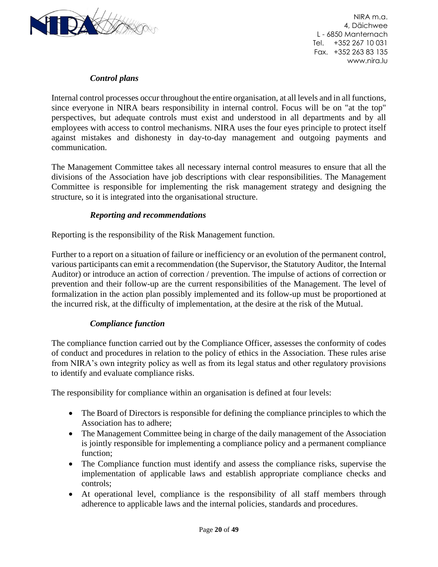

#### *Control plans*

Internal control processes occur throughout the entire organisation, at all levels and in all functions, since everyone in NIRA bears responsibility in internal control. Focus will be on "at the top" perspectives, but adequate controls must exist and understood in all departments and by all employees with access to control mechanisms. NIRA uses the four eyes principle to protect itself against mistakes and dishonesty in day-to-day management and outgoing payments and communication.

The Management Committee takes all necessary internal control measures to ensure that all the divisions of the Association have job descriptions with clear responsibilities. The Management Committee is responsible for implementing the risk management strategy and designing the structure, so it is integrated into the organisational structure.

#### *Reporting and recommendations*

Reporting is the responsibility of the Risk Management function.

Further to a report on a situation of failure or inefficiency or an evolution of the permanent control, various participants can emit a recommendation (the Supervisor, the Statutory Auditor, the Internal Auditor) or introduce an action of correction / prevention. The impulse of actions of correction or prevention and their follow-up are the current responsibilities of the Management. The level of formalization in the action plan possibly implemented and its follow-up must be proportioned at the incurred risk, at the difficulty of implementation, at the desire at the risk of the Mutual.

#### *Compliance function*

The compliance function carried out by the Compliance Officer, assesses the conformity of codes of conduct and procedures in relation to the policy of ethics in the Association. These rules arise from NIRA's own integrity policy as well as from its legal status and other regulatory provisions to identify and evaluate compliance risks.

The responsibility for compliance within an organisation is defined at four levels:

- The Board of Directors is responsible for defining the compliance principles to which the Association has to adhere;
- The Management Committee being in charge of the daily management of the Association is jointly responsible for implementing a compliance policy and a permanent compliance function;
- The Compliance function must identify and assess the compliance risks, supervise the implementation of applicable laws and establish appropriate compliance checks and controls;
- At operational level, compliance is the responsibility of all staff members through adherence to applicable laws and the internal policies, standards and procedures.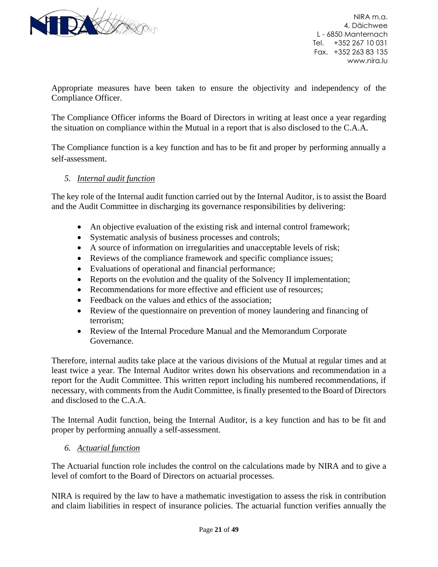

Appropriate measures have been taken to ensure the objectivity and independency of the Compliance Officer.

The Compliance Officer informs the Board of Directors in writing at least once a year regarding the situation on compliance within the Mutual in a report that is also disclosed to the C.A.A.

The Compliance function is a key function and has to be fit and proper by performing annually a self-assessment.

#### <span id="page-20-0"></span>*5. Internal audit function*

The key role of the Internal audit function carried out by the Internal Auditor, is to assist the Board and the Audit Committee in discharging its governance responsibilities by delivering:

- An objective evaluation of the existing risk and internal control framework;
- Systematic analysis of business processes and controls;
- A source of information on irregularities and unacceptable levels of risk;
- Reviews of the compliance framework and specific compliance issues;
- Evaluations of operational and financial performance;
- Reports on the evolution and the quality of the Solvency II implementation;
- Recommendations for more effective and efficient use of resources;
- Feedback on the values and ethics of the association:
- Review of the questionnaire on prevention of money laundering and financing of terrorism;
- Review of the Internal Procedure Manual and the Memorandum Corporate Governance.

Therefore, internal audits take place at the various divisions of the Mutual at regular times and at least twice a year. The Internal Auditor writes down his observations and recommendation in a report for the Audit Committee. This written report including his numbered recommendations, if necessary, with comments from the Audit Committee, is finally presented to the Board of Directors and disclosed to the C.A.A.

The Internal Audit function, being the Internal Auditor, is a key function and has to be fit and proper by performing annually a self-assessment.

#### <span id="page-20-1"></span>*6. Actuarial function*

The Actuarial function role includes the control on the calculations made by NIRA and to give a level of comfort to the Board of Directors on actuarial processes.

NIRA is required by the law to have a mathematic investigation to assess the risk in contribution and claim liabilities in respect of insurance policies. The actuarial function verifies annually the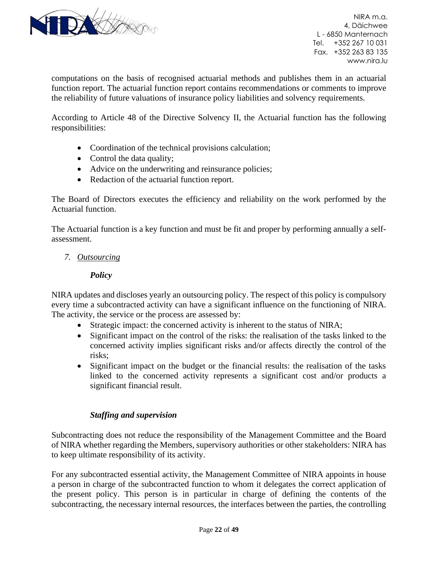

computations on the basis of recognised actuarial methods and publishes them in an actuarial function report. The actuarial function report contains recommendations or comments to improve the reliability of future valuations of insurance policy liabilities and solvency requirements.

According to Article 48 of the Directive Solvency II, the Actuarial function has the following responsibilities:

- Coordination of the technical provisions calculation;
- Control the data quality;
- Advice on the underwriting and reinsurance policies;
- Redaction of the actuarial function report.

The Board of Directors executes the efficiency and reliability on the work performed by the Actuarial function.

The Actuarial function is a key function and must be fit and proper by performing annually a selfassessment.

#### <span id="page-21-0"></span>*7. Outsourcing*

#### *Policy*

NIRA updates and discloses yearly an outsourcing policy. The respect of this policy is compulsory every time a subcontracted activity can have a significant influence on the functioning of NIRA. The activity, the service or the process are assessed by:

- Strategic impact: the concerned activity is inherent to the status of NIRA;
- Significant impact on the control of the risks: the realisation of the tasks linked to the concerned activity implies significant risks and/or affects directly the control of the risks;
- Significant impact on the budget or the financial results: the realisation of the tasks linked to the concerned activity represents a significant cost and/or products a significant financial result.

#### *Staffing and supervision*

Subcontracting does not reduce the responsibility of the Management Committee and the Board of NIRA whether regarding the Members, supervisory authorities or other stakeholders: NIRA has to keep ultimate responsibility of its activity.

For any subcontracted essential activity, the Management Committee of NIRA appoints in house a person in charge of the subcontracted function to whom it delegates the correct application of the present policy. This person is in particular in charge of defining the contents of the subcontracting, the necessary internal resources, the interfaces between the parties, the controlling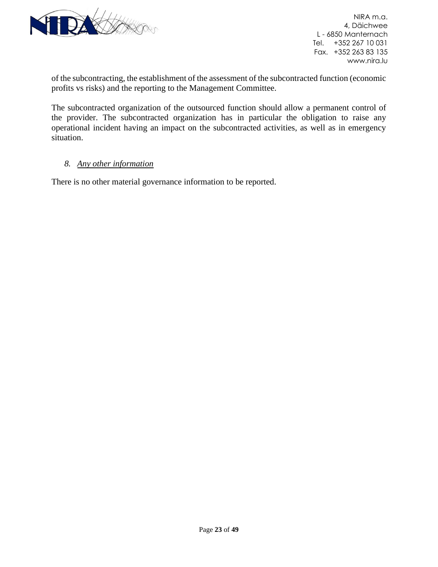

of the subcontracting, the establishment of the assessment of the subcontracted function (economic profits vs risks) and the reporting to the Management Committee.

The subcontracted organization of the outsourced function should allow a permanent control of the provider. The subcontracted organization has in particular the obligation to raise any operational incident having an impact on the subcontracted activities, as well as in emergency situation.

#### <span id="page-22-0"></span>*8. Any other information*

There is no other material governance information to be reported.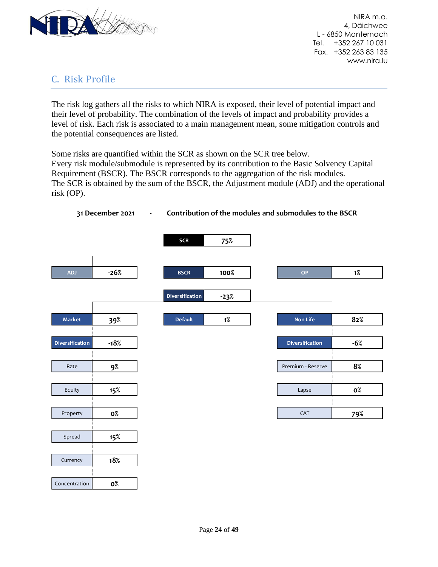

# <span id="page-23-0"></span>C. Risk Profile

The risk log gathers all the risks to which NIRA is exposed, their level of potential impact and their level of probability. The combination of the levels of impact and probability provides a level of risk. Each risk is associated to a main management mean, some mitigation controls and the potential consequences are listed.

Some risks are quantified within the SCR as shown on the SCR tree below. Every risk module/submodule is represented by its contribution to the Basic Solvency Capital Requirement (BSCR). The BSCR corresponds to the aggregation of the risk modules. The SCR is obtained by the sum of the BSCR, the Adjustment module (ADJ) and the operational risk (OP).



**31 December 2021 - Contribution of the modules and submodules to the BSCR**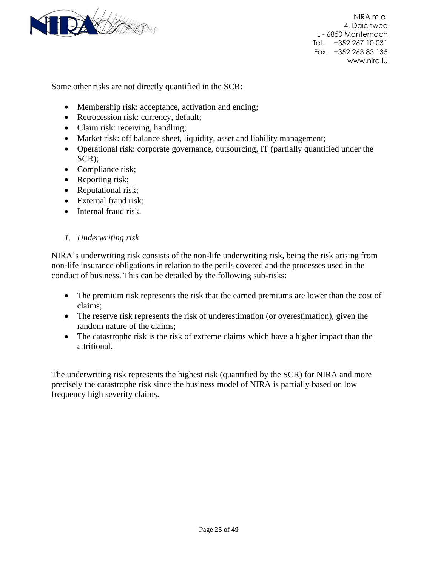

Some other risks are not directly quantified in the SCR:

- Membership risk: acceptance, activation and ending;
- Retrocession risk: currency, default;
- Claim risk: receiving, handling;
- Market risk: off balance sheet, liquidity, asset and liability management;
- Operational risk: corporate governance, outsourcing, IT (partially quantified under the SCR);
- Compliance risk;
- Reporting risk;
- Reputational risk;
- External fraud risk;
- Internal fraud risk.

#### <span id="page-24-0"></span>*1. Underwriting risk*

NIRA's underwriting risk consists of the non-life underwriting risk, being the risk arising from non-life insurance obligations in relation to the perils covered and the processes used in the conduct of business. This can be detailed by the following sub-risks:

- The premium risk represents the risk that the earned premiums are lower than the cost of claims;
- The reserve risk represents the risk of underestimation (or overestimation), given the random nature of the claims;
- The catastrophe risk is the risk of extreme claims which have a higher impact than the attritional.

The underwriting risk represents the highest risk (quantified by the SCR) for NIRA and more precisely the catastrophe risk since the business model of NIRA is partially based on low frequency high severity claims.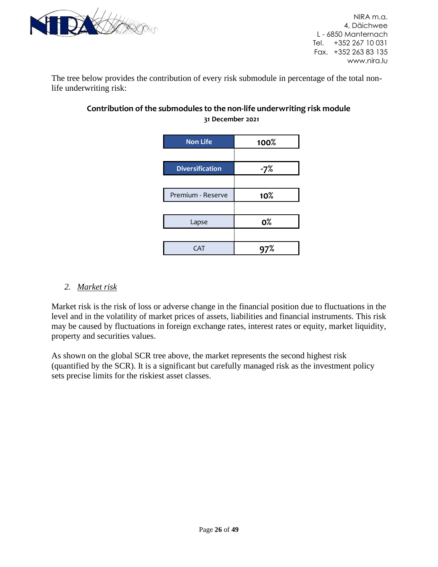

The tree below provides the contribution of every risk submodule in percentage of the total nonlife underwriting risk:

| <b>Non Life</b>        | 100%           |
|------------------------|----------------|
|                        |                |
| <b>Diversification</b> | -7%            |
| Premium - Reserve      | 10%            |
|                        |                |
| Lapse                  | 0 <sup>°</sup> |
|                        |                |
| . AT                   |                |

# **Contribution of the submodules to the non-life underwriting risk module 31 December 2021**

## <span id="page-25-0"></span>*2. Market risk*

Market risk is the risk of loss or adverse change in the financial position due to fluctuations in the level and in the volatility of market prices of assets, liabilities and financial instruments. This risk may be caused by fluctuations in foreign exchange rates, interest rates or equity, market liquidity, property and securities values.

As shown on the global SCR tree above, the market represents the second highest risk (quantified by the SCR). It is a significant but carefully managed risk as the investment policy sets precise limits for the riskiest asset classes.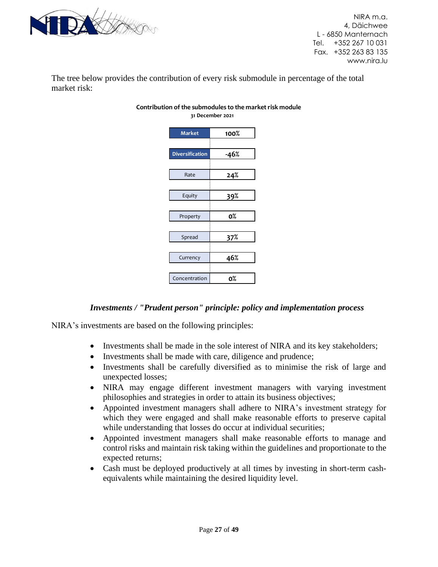

The tree below provides the contribution of every risk submodule in percentage of the total market risk:

| <b>Market</b>          | 100%   |
|------------------------|--------|
|                        |        |
| <b>Diversification</b> | $-46%$ |
|                        |        |
| Rate                   | 24%    |
|                        |        |
| Equity                 | 39%    |
|                        |        |
| Property               | о%     |
|                        |        |
| Spread                 | 37%    |
|                        |        |
| Currency               | 46%    |
|                        |        |
| Concentration          | о%     |

#### **31 December 2021 Contribution of the submodules to the market risk module**

#### *Investments / "Prudent person" principle: policy and implementation process*

NIRA's investments are based on the following principles:

- Investments shall be made in the sole interest of NIRA and its key stakeholders;
- Investments shall be made with care, diligence and prudence;
- Investments shall be carefully diversified as to minimise the risk of large and unexpected losses;
- NIRA may engage different investment managers with varying investment philosophies and strategies in order to attain its business objectives;
- Appointed investment managers shall adhere to NIRA's investment strategy for which they were engaged and shall make reasonable efforts to preserve capital while understanding that losses do occur at individual securities;
- Appointed investment managers shall make reasonable efforts to manage and control risks and maintain risk taking within the guidelines and proportionate to the expected returns;
- Cash must be deployed productively at all times by investing in short-term cashequivalents while maintaining the desired liquidity level.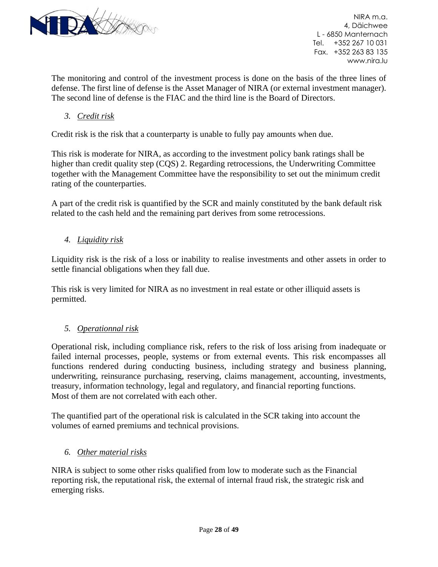

The monitoring and control of the investment process is done on the basis of the three lines of defense. The first line of defense is the Asset Manager of NIRA (or external investment manager). The second line of defense is the FIAC and the third line is the Board of Directors.

<span id="page-27-0"></span>*3. Credit risk*

Credit risk is the risk that a counterparty is unable to fully pay amounts when due.

This risk is moderate for NIRA, as according to the investment policy bank ratings shall be higher than credit quality step (CQS) 2. Regarding retrocessions, the Underwriting Committee together with the Management Committee have the responsibility to set out the minimum credit rating of the counterparties.

A part of the credit risk is quantified by the SCR and mainly constituted by the bank default risk related to the cash held and the remaining part derives from some retrocessions.

<span id="page-27-1"></span>*4. Liquidity risk*

Liquidity risk is the risk of a loss or inability to realise investments and other assets in order to settle financial obligations when they fall due.

This risk is very limited for NIRA as no investment in real estate or other illiquid assets is permitted.

#### <span id="page-27-2"></span>*5. Operationnal risk*

Operational risk, including compliance risk, refers to the risk of loss arising from inadequate or failed internal processes, people, systems or from external events. This risk encompasses all functions rendered during conducting business, including strategy and business planning, underwriting, reinsurance purchasing, reserving, claims management, accounting, investments, treasury, information technology, legal and regulatory, and financial reporting functions. Most of them are not correlated with each other.

The quantified part of the operational risk is calculated in the SCR taking into account the volumes of earned premiums and technical provisions.

#### <span id="page-27-3"></span>*6. Other material risks*

NIRA is subject to some other risks qualified from low to moderate such as the Financial reporting risk, the reputational risk, the external of internal fraud risk, the strategic risk and emerging risks.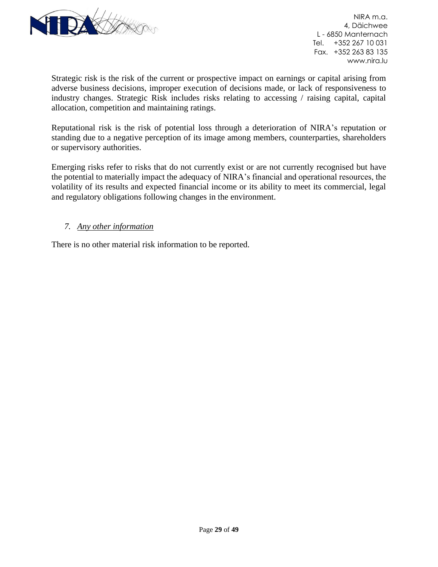

Strategic risk is the risk of the current or prospective impact on earnings or capital arising from adverse business decisions, improper execution of decisions made, or lack of responsiveness to industry changes. Strategic Risk includes risks relating to accessing / raising capital, capital allocation, competition and maintaining ratings.

Reputational risk is the risk of potential loss through a deterioration of NIRA's reputation or standing due to a negative perception of its image among members, counterparties, shareholders or supervisory authorities.

Emerging risks refer to risks that do not currently exist or are not currently recognised but have the potential to materially impact the adequacy of NIRA's financial and operational resources, the volatility of its results and expected financial income or its ability to meet its commercial, legal and regulatory obligations following changes in the environment.

#### <span id="page-28-0"></span>*7. Any other information*

There is no other material risk information to be reported.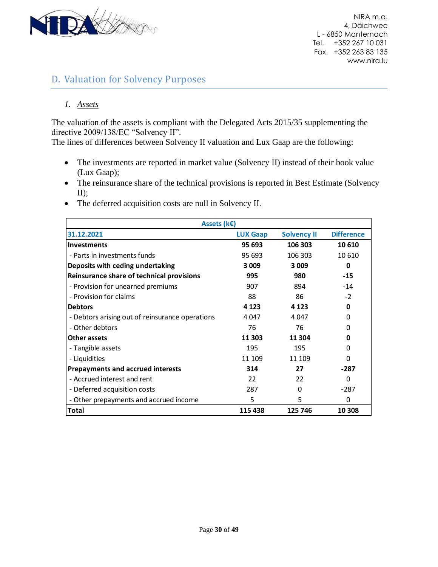

# <span id="page-29-0"></span>D. Valuation for Solvency Purposes

#### <span id="page-29-1"></span>*1. Assets*

The valuation of the assets is compliant with the Delegated Acts 2015/35 supplementing the directive 2009/138/EC "Solvency II".

The lines of differences between Solvency II valuation and Lux Gaap are the following:

- The investments are reported in market value (Solvency II) instead of their book value (Lux Gaap);
- The reinsurance share of the technical provisions is reported in Best Estimate (Solvency II);
- The deferred acquisition costs are null in Solvency II.

| Assets (k€)                                     |                 |                    |                   |  |
|-------------------------------------------------|-----------------|--------------------|-------------------|--|
| 31.12.2021                                      | <b>LUX Gaap</b> | <b>Solvency II</b> | <b>Difference</b> |  |
| Investments                                     | 95 693          | 106 303            | 10 610            |  |
| - Parts in investments funds                    | 95 693          | 106 303            | 10 610            |  |
| Deposits with ceding undertaking                | 3 0 0 9         | 3 0 0 9            | 0                 |  |
| Reinsurance share of technical provisions       | 995             | 980                | $-15$             |  |
| - Provision for unearned premiums               | 907             | 894                | $-14$             |  |
| - Provision for claims                          | 88              | 86                 | $-2$              |  |
| <b>Debtors</b>                                  | 4 1 2 3         | 4 1 2 3            | 0                 |  |
| - Debtors arising out of reinsurance operations | 4 047           | 4 047              | 0                 |  |
| - Other debtors                                 | 76              | 76                 | O                 |  |
| <b>Other assets</b>                             | 11 303          | 11 304             | O                 |  |
| - Tangible assets                               | 195             | 195                | 0                 |  |
| - Liquidities                                   | 11 109          | 11 109             | O                 |  |
| <b>Prepayments and accrued interests</b>        | 314             | 27                 | -287              |  |
| - Accrued interest and rent                     | 22              | 22                 | O                 |  |
| - Deferred acquisition costs                    | 287             | O                  | -287              |  |
| - Other prepayments and accrued income          | 5               | 5                  | 0                 |  |
| Total                                           | 115 438         | 125 746            | 10 308            |  |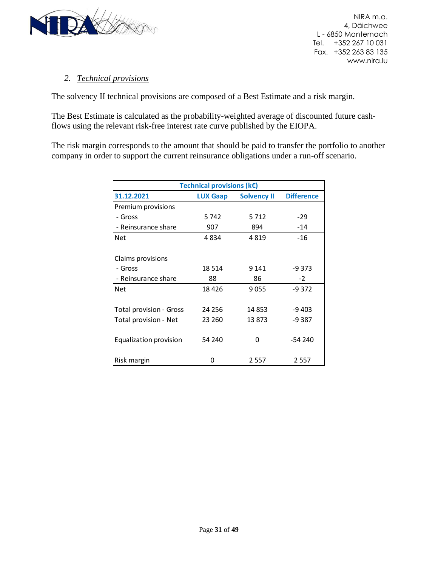

#### <span id="page-30-0"></span>*2. Technical provisions*

The solvency II technical provisions are composed of a Best Estimate and a risk margin.

The Best Estimate is calculated as the probability-weighted average of discounted future cashflows using the relevant risk-free interest rate curve published by the EIOPA.

The risk margin corresponds to the amount that should be paid to transfer the portfolio to another company in order to support the current reinsurance obligations under a run-off scenario.

| Technical provisions ( $k \in$ )                                         |         |         |          |  |  |
|--------------------------------------------------------------------------|---------|---------|----------|--|--|
| 31.12.2021<br><b>Difference</b><br><b>LUX Gaap</b><br><b>Solvency II</b> |         |         |          |  |  |
| Premium provisions                                                       |         |         |          |  |  |
| - Gross                                                                  | 5 742   | 5712    | -29      |  |  |
| - Reinsurance share                                                      | 907     | 894     | $-14$    |  |  |
| Net                                                                      | 4834    | 4819    | $-16$    |  |  |
|                                                                          |         |         |          |  |  |
| Claims provisions                                                        |         |         |          |  |  |
| - Gross                                                                  | 18 5 14 | 9 1 4 1 | -9 373   |  |  |
| - Reinsurance share                                                      | 88      | 86      | $-2$     |  |  |
| <b>Net</b>                                                               | 18426   | 9055    | $-9.372$ |  |  |
|                                                                          |         |         |          |  |  |
| <b>Total provision - Gross</b>                                           | 24 25 6 | 14 853  | $-9403$  |  |  |
| Total provision - Net                                                    | 23 260  | 13873   | -9 387   |  |  |
|                                                                          |         |         |          |  |  |
| Equalization provision                                                   | 54 240  | O       | $-54240$ |  |  |
|                                                                          |         |         |          |  |  |
| Risk margin                                                              | O       | 2 5 5 7 | 2 5 5 7  |  |  |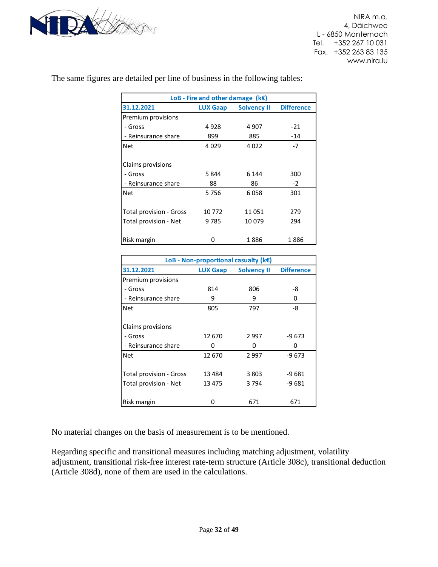

| LoB - Fire and other damage $(kE)$                                       |         |         |       |  |  |  |
|--------------------------------------------------------------------------|---------|---------|-------|--|--|--|
| 31.12.2021<br><b>Solvency II</b><br><b>Difference</b><br><b>LUX Gaap</b> |         |         |       |  |  |  |
| Premium provisions                                                       |         |         |       |  |  |  |
| - Gross                                                                  | 4 9 2 8 | 4 9 0 7 | $-21$ |  |  |  |
| - Reinsurance share                                                      | 899     | 885     | $-14$ |  |  |  |
| <b>Net</b>                                                               | 4029    | 4022    | $-7$  |  |  |  |
| Claims provisions                                                        |         |         |       |  |  |  |
| - Gross                                                                  | 5844    | 6 1 4 4 | 300   |  |  |  |
| - Reinsurance share                                                      | 88      | 86      | $-2$  |  |  |  |
| <b>Net</b>                                                               | 5756    | 6058    | 301   |  |  |  |
| <b>Total provision - Gross</b>                                           | 10 772  | 11051   | 279   |  |  |  |
| Total provision - Net                                                    | 9785    | 10079   | 294   |  |  |  |
| Risk margin                                                              | n       | 1886    | 1886  |  |  |  |

The same figures are detailed per line of business in the following tables:

| LoB - Non-proportional casualty ( $k \in$ ) |                 |                    |                   |  |  |
|---------------------------------------------|-----------------|--------------------|-------------------|--|--|
| 31.12.2021                                  | <b>LUX Gaap</b> | <b>Solvency II</b> | <b>Difference</b> |  |  |
| Premium provisions                          |                 |                    |                   |  |  |
| - Gross                                     | 814             | 806                | -8                |  |  |
| - Reinsurance share                         | 9               | 9                  | 0                 |  |  |
| <b>Net</b>                                  | 805             | 797                | -8                |  |  |
|                                             |                 |                    |                   |  |  |
| Claims provisions                           |                 |                    |                   |  |  |
| - Gross                                     | 12 670          | 2997               | $-9673$           |  |  |
| - Reinsurance share                         | 0               | Ω                  | 0                 |  |  |
| <b>Net</b>                                  | 12 670          | 2997               | $-9673$           |  |  |
|                                             |                 |                    |                   |  |  |
| <b>Total provision - Gross</b>              | 13 484          | 3 8 0 3            | $-9681$           |  |  |
| Total provision - Net                       | 13 475          | 3 7 9 4            | -9 681            |  |  |
|                                             |                 |                    |                   |  |  |
| Risk margin                                 | n               | 671                | 671               |  |  |

No material changes on the basis of measurement is to be mentioned.

Regarding specific and transitional measures including matching adjustment, volatility adjustment, transitional risk-free interest rate-term structure (Article 308c), transitional deduction (Article 308d), none of them are used in the calculations.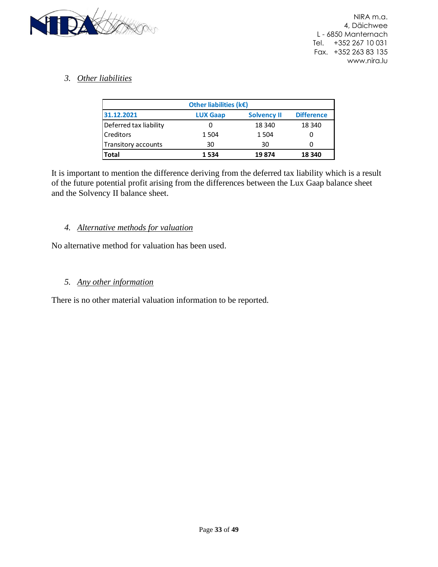

### <span id="page-32-0"></span>*3. Other liabilities*

| Other liabilities ( $k \in \mathbb{C}$ ) |                 |                    |                   |  |  |
|------------------------------------------|-----------------|--------------------|-------------------|--|--|
| 31.12.2021                               | <b>LUX Gaap</b> | <b>Solvency II</b> | <b>Difference</b> |  |  |
| Deferred tax liability                   |                 | 18 340             | 18 340            |  |  |
| <b>Creditors</b>                         | 1504            | 1 5 0 4            |                   |  |  |
| Transitory accounts                      | 30              | 30                 |                   |  |  |
| <b>Total</b><br>1534<br>19874<br>18 340  |                 |                    |                   |  |  |

It is important to mention the difference deriving from the deferred tax liability which is a result of the future potential profit arising from the differences between the Lux Gaap balance sheet and the Solvency II balance sheet.

#### <span id="page-32-1"></span>*4. Alternative methods for valuation*

No alternative method for valuation has been used.

#### <span id="page-32-2"></span>*5. Any other information*

There is no other material valuation information to be reported.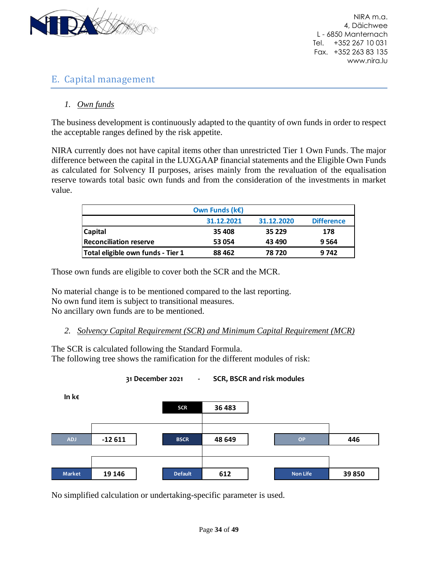

# <span id="page-33-0"></span>E. Capital management

### <span id="page-33-1"></span>*1. Own funds*

The business development is continuously adapted to the quantity of own funds in order to respect the acceptable ranges defined by the risk appetite.

NIRA currently does not have capital items other than unrestricted Tier 1 Own Funds. The major difference between the capital in the LUXGAAP financial statements and the Eligible Own Funds as calculated for Solvency II purposes, arises mainly from the revaluation of the equalisation reserve towards total basic own funds and from the consideration of the investments in market value.

|                                   | Own Funds ( $k \in \mathbb{R}$ ) |            |                   |
|-----------------------------------|----------------------------------|------------|-------------------|
|                                   | 31.12.2021                       | 31.12.2020 | <b>Difference</b> |
| <b>Capital</b>                    | 35 408                           | 35 2 2 9   | 178               |
| <b>Reconciliation reserve</b>     | 53 054                           | 43 490     | 9564              |
| Total eligible own funds - Tier 1 | 88 4 62                          | 78 720     | 9742              |

Those own funds are eligible to cover both the SCR and the MCR.

No material change is to be mentioned compared to the last reporting. No own fund item is subject to transitional measures. No ancillary own funds are to be mentioned.

<span id="page-33-2"></span>*2. Solvency Capital Requirement (SCR) and Minimum Capital Requirement (MCR)*

The SCR is calculated following the Standard Formula. The following tree shows the ramification for the different modules of risk:



No simplified calculation or undertaking-specific parameter is used.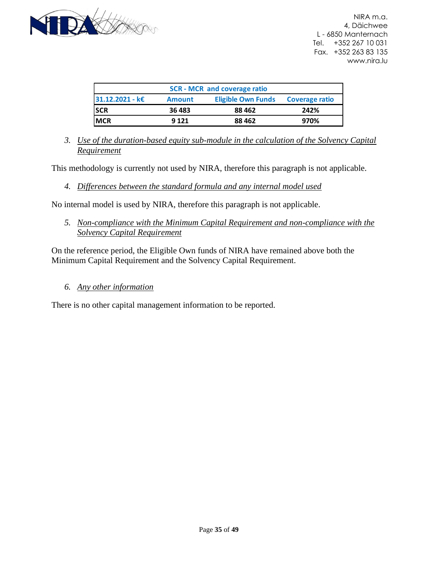

| <b>SCR - MCR and coverage ratio</b> |               |                           |                       |  |  |  |  |  |  |
|-------------------------------------|---------------|---------------------------|-----------------------|--|--|--|--|--|--|
| 31.12.2021 - k€                     | <b>Amount</b> | <b>Eligible Own Funds</b> | <b>Coverage ratio</b> |  |  |  |  |  |  |
| <b>SCR</b>                          | 36 483        | 88 4 62                   | 242%                  |  |  |  |  |  |  |
| <b>MCR</b>                          | 9 1 2 1       | 88 4 62                   | 970%                  |  |  |  |  |  |  |

<span id="page-34-0"></span>*3. Use of the duration-based equity sub-module in the calculation of the Solvency Capital Requirement*

This methodology is currently not used by NIRA, therefore this paragraph is not applicable.

<span id="page-34-1"></span>*4. Differences between the standard formula and any internal model used*

No internal model is used by NIRA, therefore this paragraph is not applicable.

<span id="page-34-2"></span>*5. Non-compliance with the Minimum Capital Requirement and non-compliance with the Solvency Capital Requirement*

On the reference period, the Eligible Own funds of NIRA have remained above both the Minimum Capital Requirement and the Solvency Capital Requirement.

#### <span id="page-34-3"></span>*6. Any other information*

There is no other capital management information to be reported.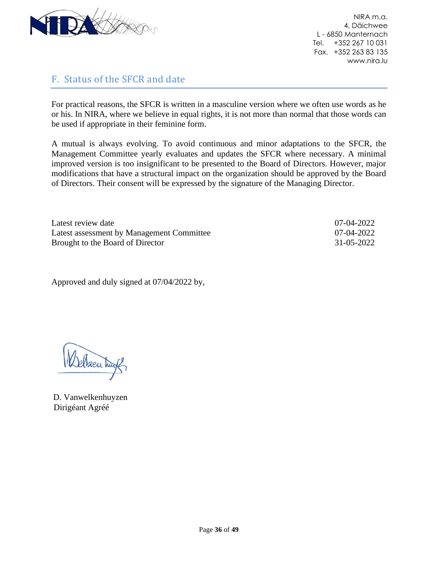

# <span id="page-35-0"></span>F. Status of the SFCR and date

For practical reasons, the SFCR is written in a masculine version where we often use words as he or his. In NIRA, where we believe in equal rights, it is not more than normal that those words can be used if appropriate in their feminine form.

A mutual is always evolving. To avoid continuous and minor adaptations to the SFCR, the Management Committee yearly evaluates and updates the SFCR where necessary. A minimal improved version is too insignificant to be presented to the Board of Directors. However, major modifications that have a structural impact on the organization should be approved by the Board of Directors. Their consent will be expressed by the signature of the Managing Director.

| Latest review date                        | 07-04-2022 |
|-------------------------------------------|------------|
| Latest assessment by Management Committee | 07-04-2022 |
| Brought to the Board of Director          | 31-05-2022 |

Approved and duly signed at 07/04/2022 by,

Welsen hugh

D. Vanwelkenhuyzen Dirigéant Agréé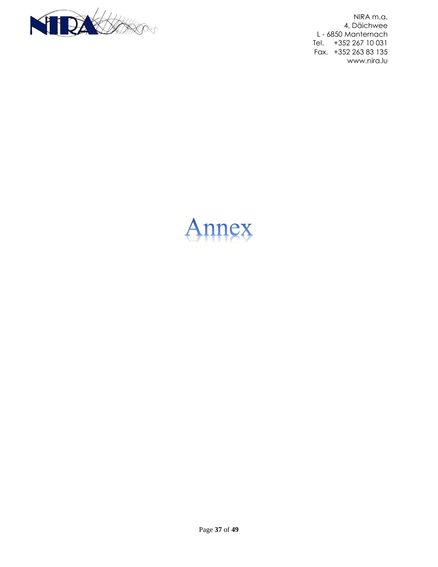

<span id="page-36-0"></span>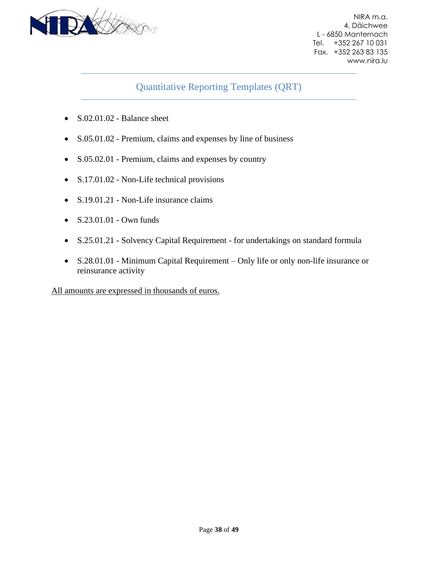

# Quantitative Reporting Templates (QRT)

- S.02.01.02 Balance sheet
- S.05.01.02 Premium, claims and expenses by line of business
- S.05.02.01 Premium, claims and expenses by country
- S.17.01.02 Non-Life technical provisions
- S.19.01.21 Non-Life insurance claims
- S.23.01.01 Own funds
- S.25.01.21 Solvency Capital Requirement for undertakings on standard formula
- S.28.01.01 Minimum Capital Requirement Only life or only non-life insurance or reinsurance activity

All amounts are expressed in thousands of euros.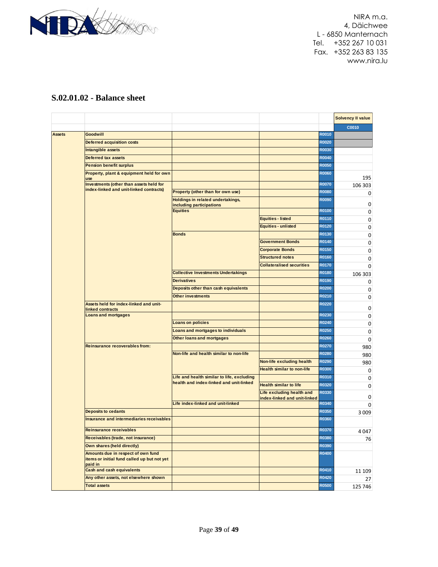

# **S.02.01.02 - Balance sheet**

|               |                                                                                              |                                                               |                                   |              | <b>Solvency II value</b> |
|---------------|----------------------------------------------------------------------------------------------|---------------------------------------------------------------|-----------------------------------|--------------|--------------------------|
|               |                                                                                              |                                                               |                                   |              | C0010                    |
| <b>Assets</b> | <b>Goodwill</b>                                                                              |                                                               |                                   | R0010        |                          |
|               | <b>Deferred acquisition costs</b>                                                            |                                                               |                                   | <b>R0020</b> |                          |
|               | Intangible assets                                                                            |                                                               |                                   | R0030        |                          |
|               | <b>Deferred tax assets</b>                                                                   |                                                               |                                   | <b>R0040</b> |                          |
|               | <b>Pension benefit surplus</b>                                                               |                                                               |                                   | <b>R0050</b> |                          |
|               | Property, plant & equipment held for own<br>use                                              |                                                               |                                   | <b>R0060</b> | 195                      |
|               | Investments (other than assets held for                                                      |                                                               |                                   | <b>R0070</b> | 106 303                  |
|               | index-linked and unit-linked contracts)                                                      | Property (other than for own use)                             |                                   | <b>R0080</b> | 0                        |
|               |                                                                                              | Holdings in related undertakings,<br>including participations |                                   | <b>R0090</b> | 0                        |
|               |                                                                                              | <b>Equities</b>                                               |                                   | R0100        | 0                        |
|               |                                                                                              |                                                               | Equities - listed                 | R0110        | 0                        |
|               |                                                                                              |                                                               | Equities - unlisted               | R0120        | 0                        |
|               |                                                                                              | <b>Bonds</b>                                                  |                                   | R0130        | 0                        |
|               |                                                                                              |                                                               | <b>Government Bonds</b>           | R0140        | 0                        |
|               |                                                                                              |                                                               | <b>Corporate Bonds</b>            | R0150        | 0                        |
|               |                                                                                              |                                                               | <b>Structured notes</b>           | R0160        | 0                        |
|               |                                                                                              |                                                               | <b>Collateralised securities</b>  | R0170        | 0                        |
|               |                                                                                              | <b>Collective Investments Undertakings</b>                    |                                   | R0180        | 106 303                  |
|               |                                                                                              | <b>Derivatives</b>                                            |                                   | R0190        | 0                        |
|               |                                                                                              | Deposits other than cash equivalents                          |                                   | <b>R0200</b> | 0                        |
|               |                                                                                              | <b>Other investments</b>                                      |                                   | R0210        | 0                        |
|               | Assets held for index-linked and unit-<br>linked contracts                                   |                                                               |                                   | <b>R0220</b> | 0                        |
|               | <b>Loans and mortgages</b>                                                                   |                                                               |                                   | R0230        | 0                        |
|               |                                                                                              | <b>Loans on policies</b>                                      |                                   | R0240        | 0                        |
|               |                                                                                              | Loans and mortgages to individuals                            |                                   | <b>R0250</b> | 0                        |
|               |                                                                                              | Other loans and mortgages                                     |                                   | R0260        | $\mathbf 0$              |
|               | <b>Reinsurance recoverables from:</b>                                                        |                                                               |                                   | <b>R0270</b> | 980                      |
|               |                                                                                              | Non-life and health similar to non-life                       |                                   | <b>R0280</b> | 980                      |
|               |                                                                                              |                                                               | Non-life excluding health         | R0290        | 980                      |
|               |                                                                                              |                                                               | <b>Health similar to non-life</b> | R0300        | 0                        |
|               |                                                                                              | Life and health similar to life, excluding                    |                                   | R0310        | 0                        |
|               |                                                                                              | health and index-linked and unit-linked                       | <b>Health similar to life</b>     | R0320        | 0                        |
|               |                                                                                              |                                                               | Life excluding health and         | R0330        |                          |
|               |                                                                                              |                                                               | index-linked and unit-linked      |              | 0                        |
|               |                                                                                              | Life index-linked and unit-linked                             |                                   | R0340        | $\Omega$                 |
|               | <b>Deposits to cedants</b>                                                                   |                                                               |                                   | R0350        | 3 0 0 9                  |
|               | <b>Insurance and intermediaries receivables</b>                                              |                                                               |                                   | R0360        |                          |
|               | <b>Reinsurance receivables</b>                                                               |                                                               |                                   | R0370        | 4047                     |
|               | Receivables (trade, not insurance)                                                           |                                                               |                                   | R0380        | 76                       |
|               | Own shares (held directly)                                                                   |                                                               |                                   | R0390        |                          |
|               | Amounts due in respect of own fund<br>items or initial fund called up but not yet<br>paid in |                                                               |                                   | R0400        |                          |
|               | <b>Cash and cash equivalents</b>                                                             |                                                               |                                   | R0410        | 11 109                   |
|               | Any other assets, not elsewhere shown                                                        |                                                               |                                   | R0420        | 27                       |
|               | <b>Total assets</b>                                                                          |                                                               |                                   | <b>R0500</b> | 125 746                  |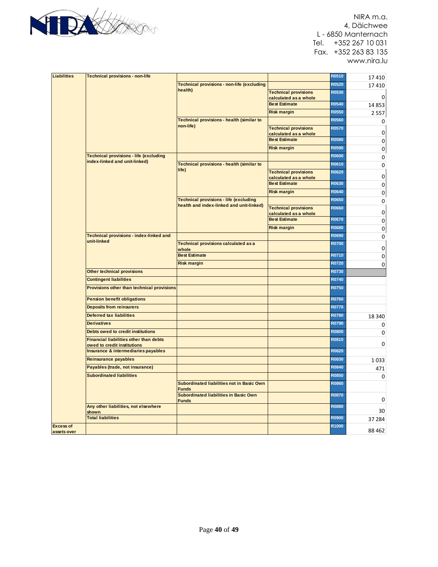

| <b>Liabilities</b> | <b>Technical provisions - non-life</b>                 |                                                           |                                               | <b>R0510</b> | 17410       |
|--------------------|--------------------------------------------------------|-----------------------------------------------------------|-----------------------------------------------|--------------|-------------|
|                    |                                                        | <b>Technical provisions - non-life (excluding</b>         |                                               | <b>R0520</b> | 17410       |
|                    |                                                        | health)                                                   | <b>Technical provisions</b>                   | R0530        |             |
|                    |                                                        |                                                           | calculated as a whole                         |              | $\mathbf 0$ |
|                    |                                                        |                                                           | <b>Best Estimate</b>                          | <b>R0540</b> | 14 8 53     |
|                    |                                                        |                                                           | <b>Risk margin</b>                            | <b>R0550</b> | 2557        |
|                    |                                                        | Technical provisions - health (similar to                 |                                               | <b>R0560</b> | 0           |
|                    |                                                        | non-life)                                                 | <b>Technical provisions</b>                   | <b>R0570</b> |             |
|                    |                                                        |                                                           | calculated as a whole                         | R0580        | 0           |
|                    |                                                        |                                                           | <b>Best Estimate</b>                          |              | 0           |
|                    |                                                        |                                                           | <b>Risk margin</b>                            | <b>R0590</b> | $\pmb{0}$   |
|                    | <b>Technical provisions - life (excluding</b>          |                                                           |                                               | <b>R0600</b> | 0           |
|                    | index-linked and unit-linked)                          | Technical provisions - health (similar to                 |                                               | R0610        | 0           |
|                    |                                                        | life)                                                     | <b>Technical provisions</b>                   | R0620        |             |
|                    |                                                        |                                                           | calculated as a whole                         |              | 0           |
|                    |                                                        |                                                           | <b>Best Estimate</b>                          | R0630        | 0           |
|                    |                                                        |                                                           | <b>Risk margin</b>                            | R0640        | $\mathbf 0$ |
|                    |                                                        | <b>Technical provisions - life (excluding</b>             |                                               | R0650        | 0           |
|                    |                                                        | health and index-linked and unit-linked)                  | <b>Technical provisions</b>                   | <b>R0660</b> |             |
|                    |                                                        |                                                           | calculated as a whole<br><b>Best Estimate</b> | <b>R0670</b> | 0           |
|                    |                                                        |                                                           |                                               |              | 0           |
|                    |                                                        |                                                           | <b>Risk margin</b>                            | <b>R0680</b> | 0           |
|                    | Technical provisions - index-linked and<br>unit-linked |                                                           |                                               | R0690        | 0           |
|                    |                                                        | Technical provisions calculated as a                      |                                               | <b>R0700</b> | 0           |
|                    |                                                        | whole<br><b>Best Estimate</b>                             |                                               | <b>R0710</b> |             |
|                    |                                                        |                                                           |                                               | <b>R0720</b> | 0           |
|                    |                                                        | <b>Risk margin</b>                                        |                                               |              | 0           |
|                    | Other technical provisions                             |                                                           |                                               | R0730        |             |
|                    | <b>Contingent liabilities</b>                          |                                                           |                                               | R0740        |             |
|                    | Provisions other than technical provisions             |                                                           |                                               | <b>R0750</b> |             |
|                    | <b>Pension benefit obligations</b>                     |                                                           |                                               | <b>R0760</b> |             |
|                    | <b>Deposits from reinsurers</b>                        |                                                           |                                               | <b>R0770</b> |             |
|                    | <b>Deferred tax liabilities</b>                        |                                                           |                                               | <b>R0780</b> | 18 340      |
|                    | <b>Derivatives</b>                                     |                                                           |                                               | R0790        | 0           |
|                    | <b>Debts owed to credit institutions</b>               |                                                           |                                               | <b>R0800</b> | 0           |
|                    | <b>Financial liabilities other than debts</b>          |                                                           |                                               | R0810        |             |
|                    | owed to credit institutions                            |                                                           |                                               |              | 0           |
|                    | Insurance & intermediaries payables                    |                                                           |                                               | <b>R0820</b> |             |
|                    | <b>Reinsurance payables</b>                            |                                                           |                                               | R0830        | 1033        |
|                    | Payables (trade, not insurance)                        |                                                           |                                               | <b>R0840</b> | 471         |
|                    | <b>Subordinated liabilities</b>                        |                                                           |                                               | <b>R0850</b> | $\mathbf 0$ |
|                    |                                                        | Subordinated liabilities not in Basic Own<br><b>Funds</b> |                                               | R0860        |             |
|                    |                                                        | Subordinated liabilities in Basic Own                     |                                               | <b>R0870</b> | $\Omega$    |
|                    | Any other liabilities, not elsewhere                   | <b>Funds</b>                                              |                                               | <b>R0880</b> |             |
|                    | shown                                                  |                                                           |                                               |              | 30          |
|                    | <b>Total liabilities</b>                               |                                                           |                                               | <b>R0900</b> | 37 284      |
| <b>Excess of</b>   |                                                        |                                                           |                                               | R1000        |             |
| assets over        |                                                        |                                                           |                                               |              | 88 4 62     |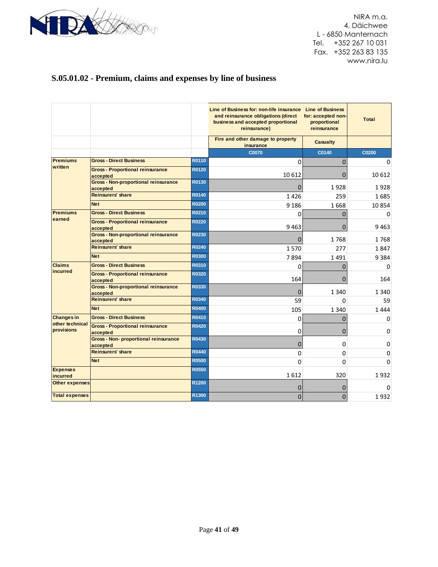

# **S.05.01.02 - Premium, claims and expenses by line of business**

|                               |                                                          |              | Line of Business for: non-life insurance Line of Business<br>and reinsurance obligations (direct<br>business and accepted proportional<br>reinsurance) | for: accepted non-<br>proportional<br>reinsurance | <b>Total</b> |
|-------------------------------|----------------------------------------------------------|--------------|--------------------------------------------------------------------------------------------------------------------------------------------------------|---------------------------------------------------|--------------|
|                               |                                                          |              | Fire and other damage to property<br>insurance                                                                                                         | <b>Casualty</b>                                   |              |
|                               |                                                          |              | <b>C0070</b>                                                                                                                                           | C0140                                             | C0200        |
| <b>Premiums</b>               | <b>Gross - Direct Business</b>                           | R0110        | $\mathbf 0$                                                                                                                                            | 0                                                 | 0            |
| written                       | <b>Gross - Proportional reinsurance</b><br>accepted      | R0120        | 10 6 12                                                                                                                                                | 0                                                 | 10 6 12      |
|                               | <b>Gross - Non-proportional reinsurance</b><br>accepted  | R0130        | $\Omega$                                                                                                                                               | 1928                                              | 1928         |
|                               | <b>Reinsurers' share</b>                                 | R0140        | 1426                                                                                                                                                   | 259                                               | 1685         |
|                               | <b>Net</b>                                               | <b>R0200</b> | 9 1 8 6                                                                                                                                                | 1668                                              | 10854        |
| <b>Premiums</b>               | <b>Gross - Direct Business</b>                           | R0210        | 0                                                                                                                                                      | 0                                                 | 0            |
| earned                        | <b>Gross - Proportional reinsurance</b><br>accepted      | <b>R0220</b> | 9463                                                                                                                                                   | $\Omega$                                          | 9463         |
|                               | <b>Gross - Non-proportional reinsurance</b><br>accepted  | R0230        | $\mathbf 0$                                                                                                                                            | 1768                                              | 1768         |
|                               | <b>Reinsurers' share</b>                                 | R0240        | 1570                                                                                                                                                   | 277                                               | 1847         |
|                               | <b>Net</b>                                               | <b>R0300</b> | 7894                                                                                                                                                   | 1491                                              | 9384         |
| <b>Claims</b>                 | <b>Gross - Direct Business</b>                           | R0310        | $\Omega$                                                                                                                                               | $\Omega$                                          | $\Omega$     |
| incurred                      | <b>Gross - Proportional reinsurance</b><br>accepted      | <b>R0320</b> | 164                                                                                                                                                    | 0                                                 | 164          |
|                               | <b>Gross - Non-proportional reinsurance</b><br>accepted  | R0330        | $\mathbf 0$                                                                                                                                            | 1 340                                             | 1 340        |
|                               | <b>Reinsurers' share</b>                                 | R0340        | 59                                                                                                                                                     | $\Omega$                                          | 59           |
|                               | <b>Net</b>                                               | <b>R0400</b> | 105                                                                                                                                                    | 1 3 4 0                                           | 1444         |
| <b>Changes in</b>             | <b>Gross - Direct Business</b>                           | R0410        | 0                                                                                                                                                      | $\mathbf 0$                                       | 0            |
| other technical<br>provisions | <b>Gross - Proportional reinsurance</b><br>accepted      | <b>R0420</b> | 0                                                                                                                                                      | 0                                                 | 0            |
|                               | <b>Gross - Non- proportional reinsurance</b><br>accepted | R0430        | $\overline{0}$                                                                                                                                         | 0                                                 | 0            |
|                               | <b>Reinsurers' share</b>                                 | <b>R0440</b> | 0                                                                                                                                                      | 0                                                 | 0            |
|                               | <b>Net</b>                                               | <b>R0500</b> | $\mathbf 0$                                                                                                                                            | 0                                                 | 0            |
| <b>Expenses</b><br>incurred   |                                                          | <b>R0550</b> | 1612                                                                                                                                                   | 320                                               | 1932         |
| <b>Other expenses</b>         |                                                          | R1200        | $\mathbf 0$                                                                                                                                            | 0                                                 | 0            |
| <b>Total expenses</b>         |                                                          | R1300        | $\mathbf{0}$                                                                                                                                           | $\mathbf{0}$                                      | 1932         |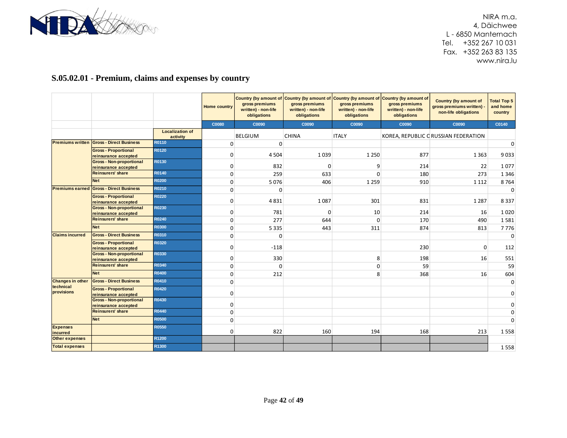

# **S.05.02.01 - Premium, claims and expenses by country**

|                                      |                                                         |                                    | <b>Home country</b> | Country (by amount of Country (by amount of Country (by amount of<br>gross premiums<br>written) - non-life<br>obligations | gross premiums<br>written) - non-life<br>obligations | gross premiums<br>written) - non-life<br>obligations | Country (by amount of<br>gross premiums<br>written) - non-life<br>obligations | <b>Country (by amount of</b><br>gross premiums written) -<br>non-life obligations | <b>Total Top 5</b><br>and home<br>country |
|--------------------------------------|---------------------------------------------------------|------------------------------------|---------------------|---------------------------------------------------------------------------------------------------------------------------|------------------------------------------------------|------------------------------------------------------|-------------------------------------------------------------------------------|-----------------------------------------------------------------------------------|-------------------------------------------|
|                                      |                                                         |                                    | <b>C0080</b>        | C0090                                                                                                                     | C0090                                                | C0090                                                | C0090                                                                         | C0090                                                                             | C0140                                     |
|                                      |                                                         | <b>Localization of</b><br>activity |                     | <b>BELGIUM</b>                                                                                                            | <b>CHINA</b>                                         | <b>ITALY</b>                                         |                                                                               | KOREA, REPUBLIC C RUSSIAN FEDERATION                                              |                                           |
| <b>Premiums written</b>              | <b>Gross - Direct Business</b>                          | R0110                              | 0                   | $\Omega$                                                                                                                  |                                                      |                                                      |                                                                               |                                                                                   | $\mathbf 0$                               |
|                                      | <b>Gross - Proportional</b><br>reinsurance accepted     | R0120                              | 0                   | 4 5 0 4                                                                                                                   | 1039                                                 | 1 2 5 0                                              | 877                                                                           | 1 3 6 3                                                                           | 9033                                      |
|                                      | <b>Gross - Non-proportional</b><br>reinsurance accepted | R0130                              | 0                   | 832                                                                                                                       | $\Omega$                                             | 9                                                    | 214                                                                           | 22                                                                                | 1077                                      |
|                                      | <b>Reinsurers' share</b>                                | R0140                              | $\mathbf 0$         | 259                                                                                                                       | 633                                                  | $\Omega$                                             | 180                                                                           | 273                                                                               | 1 3 4 6                                   |
|                                      | <b>Net</b>                                              | <b>R0200</b>                       | 0                   | 5076                                                                                                                      | 406                                                  | 1 2 5 9                                              | 910                                                                           | 1 1 1 2                                                                           | 8764                                      |
| <b>Premiums earned</b>               | <b>Gross - Direct Business</b>                          | R0210                              | 0                   | 0                                                                                                                         |                                                      |                                                      |                                                                               |                                                                                   | 0                                         |
|                                      | <b>Gross - Proportional</b><br>reinsurance accepted     | R0220                              | 0                   | 4831                                                                                                                      | 1087                                                 | 301                                                  | 831                                                                           | 1 2 8 7                                                                           | 8337                                      |
|                                      | <b>Gross - Non-proportional</b><br>reinsurance accepted | R0230                              | 0                   | 781                                                                                                                       | 0                                                    | 10                                                   | 214                                                                           | 16                                                                                | 1020                                      |
|                                      | <b>Reinsurers' share</b>                                | R0240                              | $\Omega$            | 277                                                                                                                       | 644                                                  | $\Omega$                                             | 170                                                                           | 490                                                                               | 1581                                      |
|                                      | <b>Net</b>                                              | R0300                              | 0                   | 5 3 3 5                                                                                                                   | 443                                                  | 311                                                  | 874                                                                           | 813                                                                               | 7776                                      |
| <b>Claims incurred</b>               | <b>Gross - Direct Business</b>                          | R0310                              | $\Omega$            | 0                                                                                                                         |                                                      |                                                      |                                                                               |                                                                                   | $\mathbf 0$                               |
|                                      | <b>Gross - Proportional</b><br>reinsurance accepted     | R0320                              | 0                   | $-118$                                                                                                                    |                                                      |                                                      | 230                                                                           | 0                                                                                 | 112                                       |
|                                      | <b>Gross - Non-proportional</b><br>reinsurance accepted | R0330                              | 0                   | 330                                                                                                                       |                                                      | 8                                                    | 198                                                                           | 16                                                                                | 551                                       |
|                                      | Reinsurers' share                                       | R0340                              | 0                   | 0                                                                                                                         |                                                      | $\mathbf 0$                                          | 59                                                                            |                                                                                   | 59                                        |
|                                      | <b>Net</b>                                              | <b>R0400</b>                       | $\mathbf{0}$        | 212                                                                                                                       |                                                      | 8                                                    | 368                                                                           | 16                                                                                | 604                                       |
| <b>Changes in other</b><br>technical | <b>Gross - Direct Business</b>                          | R0410                              | 0                   |                                                                                                                           |                                                      |                                                      |                                                                               |                                                                                   | $\mathbf 0$                               |
| provisions                           | <b>Gross - Proportional</b><br>reinsurance accepted     | R0420                              | $\mathbf 0$         |                                                                                                                           |                                                      |                                                      |                                                                               |                                                                                   | 0                                         |
|                                      | <b>Gross - Non-proportional</b><br>reinsurance accepted | R0430                              | 0                   |                                                                                                                           |                                                      |                                                      |                                                                               |                                                                                   | $\Omega$                                  |
|                                      | <b>Reinsurers' share</b>                                | R0440                              | $\Omega$            |                                                                                                                           |                                                      |                                                      |                                                                               |                                                                                   | 0                                         |
|                                      | <b>Net</b>                                              | <b>R0500</b>                       | 0                   |                                                                                                                           |                                                      |                                                      |                                                                               |                                                                                   | $\mathbf 0$                               |
| <b>Expenses</b><br>incurred          |                                                         | <b>R0550</b>                       | 0                   | 822                                                                                                                       | 160                                                  | 194                                                  | 168                                                                           | 213                                                                               | 1558                                      |
| <b>Other expenses</b>                |                                                         | R1200                              |                     |                                                                                                                           |                                                      |                                                      |                                                                               |                                                                                   |                                           |
| <b>Total expenses</b>                |                                                         | R1300                              |                     |                                                                                                                           |                                                      |                                                      |                                                                               |                                                                                   | 1558                                      |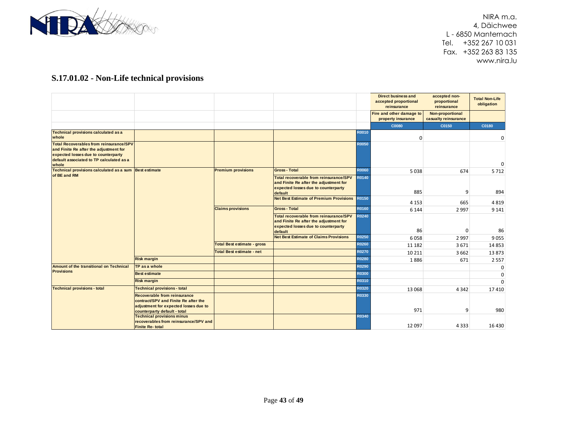

# **S.17.01.02 - Non-Life technical provisions**

|                                                                                                                                                                                      |                                                                                                                                                      |                                    |                                                                                                                                    |              | <b>Direct business and</b><br>accepted proportional<br>reinsurance | accepted non-<br>proportional<br>reinsurance | <b>Total Non-Life</b><br>obligation |
|--------------------------------------------------------------------------------------------------------------------------------------------------------------------------------------|------------------------------------------------------------------------------------------------------------------------------------------------------|------------------------------------|------------------------------------------------------------------------------------------------------------------------------------|--------------|--------------------------------------------------------------------|----------------------------------------------|-------------------------------------|
|                                                                                                                                                                                      |                                                                                                                                                      |                                    |                                                                                                                                    |              | Fire and other damage to<br>property insurance                     | Non-proportional<br>casualty reinsurance     |                                     |
|                                                                                                                                                                                      |                                                                                                                                                      |                                    |                                                                                                                                    |              | <b>C0080</b>                                                       | C0150                                        | C0180                               |
| <b>Technical provisions calculated as a</b><br>whole                                                                                                                                 |                                                                                                                                                      |                                    |                                                                                                                                    | R0010        | 0                                                                  |                                              | 0                                   |
| <b>Total Recoverables from reinsurance/SPV</b><br>and Finite Re after the adjustment for<br>expected losses due to counterparty<br>default associated to TP calculated as a<br>whole |                                                                                                                                                      |                                    |                                                                                                                                    | <b>R0050</b> |                                                                    |                                              | $\mathbf 0$                         |
| Technical provisions calculated as a sum Best estimate                                                                                                                               |                                                                                                                                                      | <b>Premium provisions</b>          | <b>Gross - Total</b>                                                                                                               | R0060        | 5038                                                               | 674                                          | 5712                                |
| of BE and RM                                                                                                                                                                         |                                                                                                                                                      |                                    | Total recoverable from reinsurance/SPV<br>and Finite Re after the adjustment for<br>expected losses due to counterparty<br>default | R0140        | 885                                                                | 9                                            | 894                                 |
|                                                                                                                                                                                      |                                                                                                                                                      |                                    | <b>Net Best Estimate of Premium Provisions</b>                                                                                     | R0150        | 4 1 5 3                                                            | 665                                          | 4819                                |
|                                                                                                                                                                                      |                                                                                                                                                      | <b>Claims provisions</b>           | <b>Gross - Total</b>                                                                                                               | R0160        | 6 1 4 4                                                            | 2 9 9 7                                      | 9 1 4 1                             |
|                                                                                                                                                                                      |                                                                                                                                                      |                                    | Total recoverable from reinsurance/SPV<br>and Finite Re after the adjustment for<br>expected losses due to counterparty<br>default | R0240        | 86                                                                 | 0                                            | 86                                  |
|                                                                                                                                                                                      |                                                                                                                                                      |                                    | <b>Net Best Estimate of Claims Provisions</b>                                                                                      | <b>R0250</b> | 6058                                                               | 2 9 9 7                                      | 9055                                |
|                                                                                                                                                                                      |                                                                                                                                                      | <b>Total Best estimate - gross</b> |                                                                                                                                    | R0260        | 11 182                                                             | 3671                                         | 14853                               |
|                                                                                                                                                                                      |                                                                                                                                                      | <b>Total Best estimate - net</b>   |                                                                                                                                    | <b>R0270</b> | 10 211                                                             | 3 6 6 2                                      | 13873                               |
|                                                                                                                                                                                      | <b>Risk margin</b>                                                                                                                                   |                                    |                                                                                                                                    | R0280        | 1886                                                               | 671                                          | 2 5 5 7                             |
| Amount of the transitional on Technical                                                                                                                                              | TP as a whole                                                                                                                                        |                                    |                                                                                                                                    | R0290        |                                                                    |                                              | 0                                   |
| <b>Provisions</b>                                                                                                                                                                    | <b>Best estimate</b>                                                                                                                                 |                                    |                                                                                                                                    | R0300        |                                                                    |                                              | $\mathbf 0$                         |
|                                                                                                                                                                                      | <b>Risk margin</b>                                                                                                                                   |                                    |                                                                                                                                    | R0310        |                                                                    |                                              | $\Omega$                            |
| <b>Technical provisions - total</b>                                                                                                                                                  | <b>Technical provisions - total</b>                                                                                                                  |                                    |                                                                                                                                    | R0320        | 13 068                                                             | 4 3 4 2                                      | 17410                               |
|                                                                                                                                                                                      | <b>Recoverable from reinsurance</b><br>contract/SPV and Finite Re after the<br>adjustment for expected losses due to<br>counterparty default - total |                                    |                                                                                                                                    | R0330        | 971                                                                | 9                                            | 980                                 |
|                                                                                                                                                                                      | <b>Technical provisions minus</b><br>recoverables from reinsurance/SPV and<br><b>Finite Re-total</b>                                                 |                                    |                                                                                                                                    | R0340        | 12097                                                              | 4 3 3 3                                      | 16 4 30                             |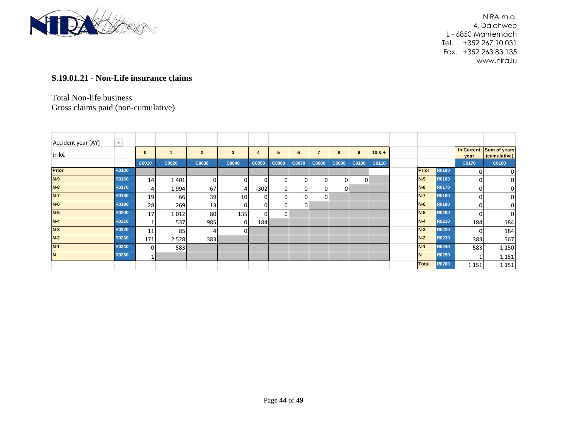

#### **S.19.01.21 - Non-Life insurance claims**

#### Total Non-life business Gross claims paid (non-cumulative)

| Accident year [AY] | $\mathbf{v}$ |          |       |                |       |        |              |       |              |       |       |          |              |              |              |                                         |
|--------------------|--------------|----------|-------|----------------|-------|--------|--------------|-------|--------------|-------|-------|----------|--------------|--------------|--------------|-----------------------------------------|
| $\ln k \epsilon$   |              | $\bf{0}$ |       | $\overline{2}$ | 3     | 4      | 5            |       |              | 8     | 9     | $10 & +$ |              |              | year         | In Current Sum of years<br>(cumulative) |
|                    |              | C0010    | C0020 | C0030          | C0040 | C0050  | <b>C0060</b> | C0070 | <b>C0080</b> | C0090 | C0100 | C0110    |              |              | C0170        | C0180                                   |
| Prior              | R0100        |          |       |                |       |        |              |       |              |       |       |          | Prior        | <b>R0100</b> | <sup>0</sup> | 0                                       |
| $N-9$              | R0160        | 14       | 1401  | 0              |       | 0      | $\mathbf{0}$ | 0     | $\Omega$     | ΟI    | 0     |          | $N-9$        | <b>R0160</b> | $\Omega$     | $\overline{0}$                          |
| $N-8$              | <b>R0170</b> |          | 1994  | 67             |       | $-302$ |              |       |              | 01    |       |          | $N-8$        | <b>R0170</b> | 0            | $\overline{0}$                          |
| $N-7$              | R0180        | 19       | 66    | 39             | 10    | 0      |              |       | ΩI           |       |       |          | $N-7$        | R0180        | 0            | $\overline{0}$                          |
| $N-6$              | R0190        | 28       | 269   | 13             |       | 0      |              | ΩI    |              |       |       |          | $N-6$        | R0190        | 0            | $\overline{0}$                          |
| $N-5$              | <b>R0200</b> | 17       | 1012  | 80             | 135   | 0      | ΩI           |       |              |       |       |          | $N-5$        | <b>R0200</b> | $\Omega$     | $\overline{0}$                          |
| $N-4$              | R0210        |          | 537   | 985            | O     | 184    |              |       |              |       |       |          | $N-4$        | R0210        | 184          | 184                                     |
| $N-3$              | R0220        | 11       | 85    | 4              | 01    |        |              |       |              |       |       |          | $N-3$        | <b>R0220</b> | $\Omega$     | 184                                     |
| $N-2$              | R0230        | 171      | 2528  | 383            |       |        |              |       |              |       |       |          | $N-2$        | R0230        | 383          | 567                                     |
| $N-1$              | R0240        | 0        | 583   |                |       |        |              |       |              |       |       |          | $N-1$        | R0240        | 583          | 1 1 5 0                                 |
| <b>N</b>           | <b>R0250</b> | 1        |       |                |       |        |              |       |              |       |       |          | <b>N</b>     | R0250        |              | 1 1 5 1                                 |
|                    |              |          |       |                |       |        |              |       |              |       |       |          | <b>Total</b> | <b>R0260</b> | 1 1 5 1      | 1 1 5 1                                 |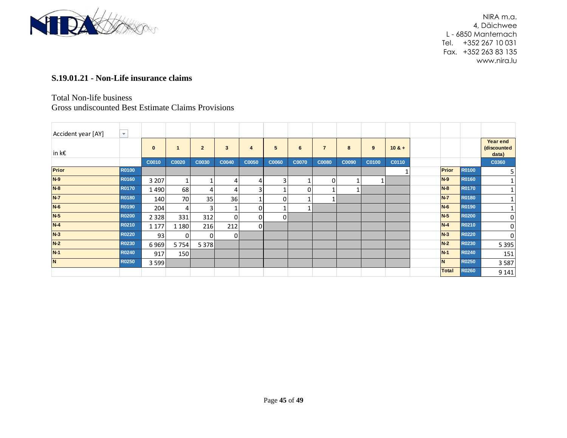

#### **S.19.01.21 - Non-Life insurance claims**

#### Total Non-life business

#### Gross undiscounted Best Estimate Claims Provisions

| Accident year [AY]  | Ψ.           |          |              |                |              |       |       |              |                |       |       |          |              |              |                                  |
|---------------------|--------------|----------|--------------|----------------|--------------|-------|-------|--------------|----------------|-------|-------|----------|--------------|--------------|----------------------------------|
| $ $ in k $\epsilon$ |              | $\bf{0}$ | $\mathbf{1}$ | $\overline{2}$ | $\mathbf{3}$ | 4     | 5     | 6            | $\overline{7}$ | 8     | 9     | $10 & +$ |              |              | Year end<br>(discounted<br>data) |
|                     |              | C0010    | C0020        | C0030          | C0040        | C0050 | C0060 | <b>C0070</b> | <b>C0080</b>   | C0090 | C0100 | C0110    |              |              | C0360                            |
| <b>Prior</b>        | R0100        |          |              |                |              |       |       |              |                |       |       |          | <b>Prior</b> | <b>R0100</b> | 5                                |
| $N-9$               | R0160        | 3 2 0 7  |              |                | 4            | 4     | 3     |              |                |       |       |          | $N-9$        | <b>R0160</b> | 1                                |
| $N-8$               | R0170        | 1490     | 68           |                | 4            | 3     |       | $\Omega$     |                |       |       |          | $N-8$        | <b>R0170</b> | 1                                |
| $N-7$               | R0180        | 140      | 70           | 35             | 36           |       | 0     |              |                |       |       |          | $N-7$        | <b>R0180</b> | 1                                |
| $N-6$               | R0190        | 204      | 4            | 3              |              | 0     |       |              |                |       |       |          | $N-6$        | <b>R0190</b> | 1                                |
| $N-5$               | <b>R0200</b> | 2 3 2 8  | 331          | 312            | 0            | 0     | 01    |              |                |       |       |          | $N-5$        | <b>R0200</b> | 0                                |
| $N-4$               | R0210        | 1 1 7 7  | 1 1 8 0      | 216            | 212          | 0l    |       |              |                |       |       |          | $N-4$        | <b>R0210</b> | 0                                |
| $N-3$               | R0220        | 93       | ΩI           | <sup>0</sup>   | 0            |       |       |              |                |       |       |          | $N-3$        | <b>R0220</b> | 0                                |
| $N-2$               | R0230        | 6969     | 5754         | 5 3 7 8        |              |       |       |              |                |       |       |          | $N-2$        | R0230        | 5 3 9 5                          |
| $N-1$               | R0240        | 917      | 150 l        |                |              |       |       |              |                |       |       |          | $N-1$        | <b>R0240</b> | 151                              |
| N                   | R0250        | 3 5 9 9  |              |                |              |       |       |              |                |       |       |          | N            | R0250        | 3587                             |
|                     |              |          |              |                |              |       |       |              |                |       |       |          | <b>Total</b> | <b>R0260</b> | 9 1 4 1                          |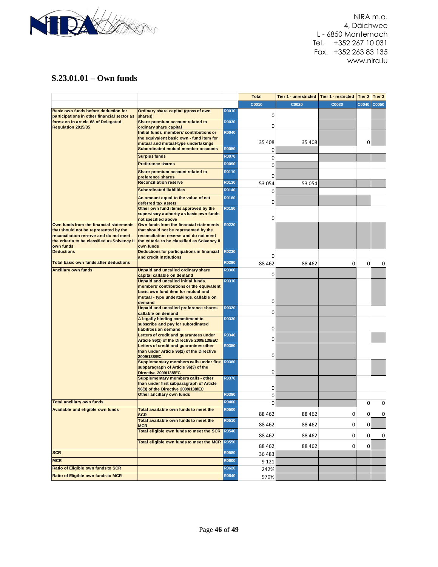

#### **S.23.01.01 – Own funds**

|                                                                                     |                                                                                |              | <b>Total</b> | Tier 1 - unrestricted | <b>Tier 1 - restricted</b> | Tier 2 | Tier 3 |
|-------------------------------------------------------------------------------------|--------------------------------------------------------------------------------|--------------|--------------|-----------------------|----------------------------|--------|--------|
|                                                                                     |                                                                                |              | C0010        | C0020                 | C0030                      | C0040  | C0050  |
| Basic own funds before deduction for<br>participations in other financial sector as | Ordinary share capital (gross of own<br>shares)                                | <b>R0010</b> | 0            |                       |                            |        |        |
| foreseen in article 68 of Delegated                                                 | Share premium account related to                                               | <b>R0030</b> | 0            |                       |                            |        |        |
| <b>Regulation 2015/35</b>                                                           | ordinary share capital<br>Initial funds, members' contributions or             | <b>R0040</b> |              |                       |                            |        |        |
|                                                                                     | the equivalent basic own - fund item for                                       |              |              |                       |                            |        |        |
|                                                                                     | mutual and mutual-type undertakings                                            |              | 35 408       | 35 408                |                            | 0      |        |
|                                                                                     | Subordinated mutual member accounts                                            | <b>R0050</b> | 0            |                       |                            |        |        |
|                                                                                     | <b>Surplus funds</b>                                                           | <b>R0070</b> | 0            |                       |                            |        |        |
|                                                                                     | <b>Preference shares</b>                                                       | R0090        | 0            |                       |                            |        |        |
|                                                                                     | Share premium account related to                                               | R0110        |              |                       |                            |        |        |
|                                                                                     | preference shares                                                              |              | 0            |                       |                            |        |        |
|                                                                                     | <b>Reconciliation reserve</b>                                                  | R0130        | 53 054       | 53 054                |                            |        |        |
|                                                                                     | <b>Subordinated liabilities</b>                                                | R0140        | 0            |                       |                            |        |        |
|                                                                                     | An amount equal to the value of net                                            | R0160        | 0            |                       |                            |        |        |
|                                                                                     | deferred tax assets<br>Other own fund items approved by the                    | R0180        |              |                       |                            |        |        |
|                                                                                     | supervisory authority as basic own funds                                       |              |              |                       |                            |        |        |
|                                                                                     | not specified above                                                            |              | 0            |                       |                            |        |        |
| Own funds from the financial statements                                             | Own funds from the financial statements                                        | R0220        |              |                       |                            |        |        |
| that should not be represented by the                                               | that should not be represented by the                                          |              |              |                       |                            |        |        |
| reconciliation reserve and do not meet                                              | reconciliation reserve and do not meet                                         |              |              |                       |                            |        |        |
| the criteria to be classified as Solvency II<br>own funds                           | the criteria to be classified as Solvency II<br>own funds                      |              |              |                       |                            |        |        |
| <b>Deductions</b>                                                                   | Deductions for participations in financial                                     | R0230        |              |                       |                            |        |        |
|                                                                                     | and credit institutions                                                        |              | 0            |                       |                            |        |        |
| Total basic own funds after deductions                                              |                                                                                | <b>R0290</b> | 88 4 62      | 88 4 62               | 0                          | 0      | 0      |
| <b>Ancillary own funds</b>                                                          | Unpaid and uncalled ordinary share                                             | <b>R0300</b> | 0            |                       |                            |        |        |
|                                                                                     | capital callable on demand<br>Unpaid and uncalled initial funds,               | R0310        |              |                       |                            |        |        |
|                                                                                     | members' contributions or the equivalent                                       |              |              |                       |                            |        |        |
|                                                                                     | basic own fund item for mutual and                                             |              |              |                       |                            |        |        |
|                                                                                     | mutual - type undertakings, callable on                                        |              |              |                       |                            |        |        |
|                                                                                     | demand                                                                         |              | 0            |                       |                            |        |        |
|                                                                                     | Unpaid and uncalled preference shares                                          | R0320        | 0            |                       |                            |        |        |
|                                                                                     | callable on demand<br>A legally binding commitment to                          | R0330        |              |                       |                            |        |        |
|                                                                                     | subscribe and pay for subordinated                                             |              |              |                       |                            |        |        |
|                                                                                     | liabilities on demand                                                          |              | 0            |                       |                            |        |        |
|                                                                                     | Letters of credit and guarantees under                                         | R0340        |              |                       |                            |        |        |
|                                                                                     | Article 96(2) of the Directive 2009/138/EC                                     |              | 0            |                       |                            |        |        |
|                                                                                     | Letters of credit and guarantees other                                         | R0350        |              |                       |                            |        |        |
|                                                                                     | than under Article 96(2) of the Directive<br>2009/138/EC                       |              | 0            |                       |                            |        |        |
|                                                                                     | Supplementary members calls under first                                        | R0360        |              |                       |                            |        |        |
|                                                                                     | subparagraph of Article 96(3) of the                                           |              |              |                       |                            |        |        |
|                                                                                     | Directive 2009/138/EC                                                          |              | 0            |                       |                            |        |        |
|                                                                                     | Supplementary members calls - other                                            | <b>R0370</b> |              |                       |                            |        |        |
|                                                                                     | than under first subparagraph of Article<br>96(3) of the Directive 2009/138/EC |              | 0            |                       |                            |        |        |
|                                                                                     | Other ancillary own funds                                                      | R0390        | 0            |                       |                            |        |        |
| <b>Total ancillary own funds</b>                                                    |                                                                                | R0400        | 0            |                       |                            | 0      | 0      |
| Available and eligible own funds                                                    | Total available own funds to meet the                                          | <b>R0500</b> | 88 4 62      | 88 4 62               | 0                          | 0      | 0      |
|                                                                                     | SCR<br>Total available own funds to meet the                                   | R0510        | 88 4 62      | 88 4 62               | 0                          | 0      |        |
|                                                                                     | <b>MCR</b><br>Total eligible own funds to meet the SCR                         | R0540        |              |                       |                            |        |        |
|                                                                                     |                                                                                |              | 88 4 62      | 88 462                | 0                          | 0      | 0      |
|                                                                                     | Total eligible own funds to meet the MCR                                       | <b>R0550</b> | 88 4 62      | 88 462                | 0                          | 0      |        |
| <b>SCR</b>                                                                          |                                                                                | <b>R0580</b> | 36 483       |                       |                            |        |        |
| <b>MCR</b>                                                                          |                                                                                | <b>R0600</b> | 9 1 2 1      |                       |                            |        |        |
| Ratio of Eligible own funds to SCR                                                  |                                                                                | R0620        | 242%         |                       |                            |        |        |
| Ratio of Eligible own funds to MCR                                                  |                                                                                | R0640        | 970%         |                       |                            |        |        |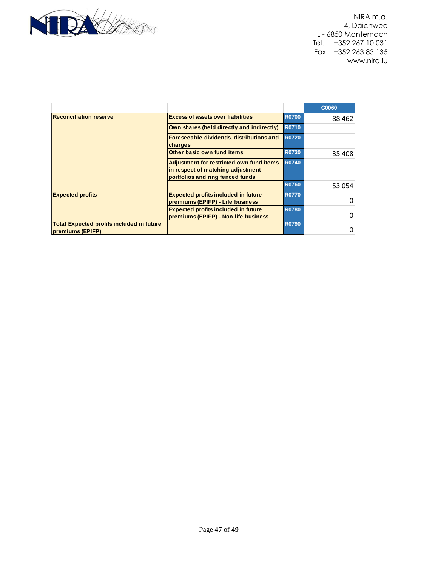

|                                                               |                                                                                                                   |              | C0060   |
|---------------------------------------------------------------|-------------------------------------------------------------------------------------------------------------------|--------------|---------|
| <b>Reconciliation reserve</b>                                 | <b>Excess of assets over liabilities</b>                                                                          | <b>R0700</b> | 88 4 62 |
|                                                               | Own shares (held directly and indirectly)                                                                         | <b>R0710</b> |         |
|                                                               | Foreseeable dividends, distributions and<br>charges                                                               | <b>R0720</b> |         |
|                                                               | Other basic own fund items                                                                                        | <b>R0730</b> | 35 408  |
|                                                               | Adjustment for restricted own fund items<br>in respect of matching adjustment<br>portfolios and ring fenced funds | <b>R0740</b> |         |
|                                                               |                                                                                                                   | <b>R0760</b> | 53 054  |
| <b>Expected profits</b>                                       | <b>Expected profits included in future</b><br>premiums (EPIFP) - Life business                                    | <b>R0770</b> | 0       |
|                                                               | <b>Expected profits included in future</b><br>premiums (EPIFP) - Non-life business                                | <b>R0780</b> | 0       |
| Total Expected profits included in future<br>premiums (EPIFP) |                                                                                                                   | <b>R0790</b> | 0       |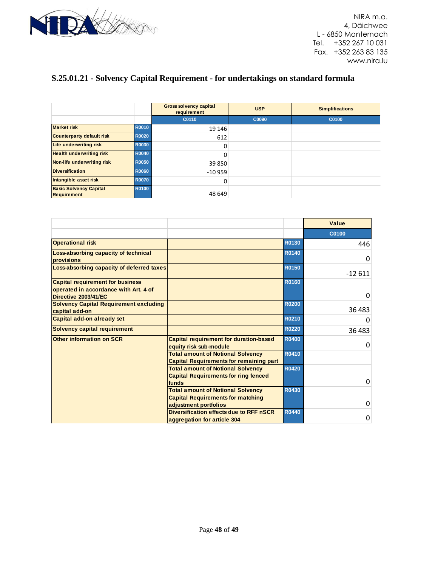

# **S.25.01.21 - Solvency Capital Requirement - for undertakings on standard formula**

|                                                     |              | <b>Gross solvency capital</b><br>requirement | <b>USP</b> | <b>Simplifications</b> |
|-----------------------------------------------------|--------------|----------------------------------------------|------------|------------------------|
|                                                     |              | C0110                                        | C0090      | C0100                  |
| <b>Market risk</b>                                  | <b>R0010</b> | 19 14 6                                      |            |                        |
| <b>Counterparty default risk</b>                    | <b>R0020</b> | 612                                          |            |                        |
| Life underwriting risk                              | <b>R0030</b> | 0                                            |            |                        |
| <b>Health underwriting risk</b>                     | <b>R0040</b> | 0                                            |            |                        |
| Non-life underwriting risk                          | <b>R0050</b> | 39 850                                       |            |                        |
| <b>Diversification</b>                              | <b>R0060</b> | $-10959$                                     |            |                        |
| Intangible asset risk                               | <b>R0070</b> | 0                                            |            |                        |
| <b>Basic Solvency Capital</b><br><b>Requirement</b> | <b>R0100</b> | 48 649                                       |            |                        |

|                                                                                                          |                                                                                                  |              | Value        |
|----------------------------------------------------------------------------------------------------------|--------------------------------------------------------------------------------------------------|--------------|--------------|
|                                                                                                          |                                                                                                  |              | <b>C0100</b> |
| <b>Operational risk</b>                                                                                  |                                                                                                  | R0130        | 446          |
| Loss-absorbing capacity of technical<br>provisions                                                       |                                                                                                  | R0140        | $\Omega$     |
| Loss-absorbing capacity of deferred taxes                                                                |                                                                                                  | <b>R0150</b> | $-12611$     |
| <b>Capital requirement for business</b><br>operated in accordance with Art. 4 of<br>Directive 2003/41/EC |                                                                                                  | <b>R0160</b> | 0            |
| <b>Solvency Capital Requirement excluding</b><br>capital add-on                                          |                                                                                                  | <b>R0200</b> | 36 483       |
| Capital add-on already set                                                                               |                                                                                                  | R0210        | 0            |
| <b>Solvency capital requirement</b>                                                                      |                                                                                                  | <b>R0220</b> | 36 483       |
| <b>Other information on SCR</b>                                                                          | <b>Capital requirement for duration-based</b><br>equity risk sub-module                          | <b>R0400</b> | $\Omega$     |
|                                                                                                          | <b>Total amount of Notional Solvency</b><br><b>Capital Requirements for remaining part</b>       | R0410        |              |
|                                                                                                          | <b>Total amount of Notional Solvency</b><br><b>Capital Requirements for ring fenced</b><br>funds | <b>R0420</b> | 0            |
|                                                                                                          | <b>Total amount of Notional Solvency</b><br><b>Capital Requirements for matching</b>             | R0430        |              |
|                                                                                                          | adiustment portfolios                                                                            |              | 0            |
|                                                                                                          | Diversification effects due to RFF nSCR<br>aggregation for article 304                           | <b>R0440</b> | 0            |